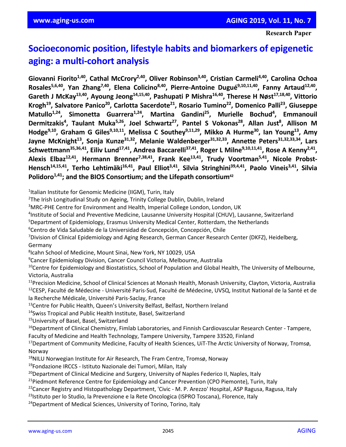# **Socioeconomic position, lifestyle habits and biomarkers of epigenetic aging: a multi-cohort analysis**

Giovanni Fiorito<sup>1,40</sup>, Cathal McCrory<sup>2,40</sup>, Oliver Robinson<sup>3,40</sup>, Cristian Carmeli<sup>4,40</sup>, Carolina Ochoa Rosales<sup>5,6,40</sup>, Yan Zhang<sup>7,40</sup>, Elena Colicino<sup>8,40</sup>, Pierre-Antoine Dugué<sup>9,10,11,40</sup>, Fanny Artaud<sup>12,40</sup>. Gareth J McKay<sup>13,40</sup>, Ayoung Jeong<sup>14,15,40</sup>, Pashupati P Mishra<sup>16,40</sup>, Therese H Nøst<sup>17,18,40</sup>, Vittorio Krogh<sup>19</sup>, Salvatore Panico<sup>20</sup>, Carlotta Sacerdote<sup>21</sup>, Rosario Tumino<sup>22</sup>, Domenico Palli<sup>23</sup>, Giuseppe Matullo<sup>1,24</sup>, Simonetta Guarrera<sup>1,24</sup>, Martina Gandini<sup>25</sup>, Murielle Bochud<sup>4</sup>, Emmanouil Dermitzakis<sup>4</sup>, Taulant Muka<sup>5,26</sup>, Joel Schwartz<sup>27</sup>, Pantel S Vokonas<sup>28</sup>, Allan Just<sup>8</sup>, Allison M Hodge<sup>9,10</sup>, Graham G Giles<sup>9,10,11</sup>, Melissa C Southey<sup>9,11,29</sup>, Mikko A Hurme<sup>30</sup>, Ian Young<sup>13</sup>, Amy Jayne McKnight<sup>13</sup>, Sonja Kunze<sup>31,32</sup>, Melanie Waldenberger<sup>31,32,33</sup>, Annette Peters<sup>31,32,33,34</sup>, Lars Schwettmann<sup>35,36,41</sup>, Eiliv Lund<sup>17,41</sup>, Andrea Baccarelli<sup>37,41</sup>, Roger L Milne<sup>9,10,11,41</sup>, Rose A Kenny<sup>2,41</sup>, Alexis Elbaz<sup>12,41</sup>, Hermann Brenner<sup>7,38,41</sup>, Frank Kee<sup>13,41</sup>, Trudy Voortman<sup>5,41</sup>, Nicole Probst-Hensch<sup>14,15,41</sup>, Terho Lehtimäki<sup>16,41</sup>, Paul Elliot<sup>3,41</sup>, Silvia Stringhini<sup>39,4,41</sup>, Paolo Vineis<sup>3,41</sup>, Silvia Polidoro<sup>1,41</sup>; and the BIOS Consortium; and the Lifepath consortium<sup>42</sup>

<sup>1</sup>Italian Institute for Genomic Medicine (IIGM), Turin, Italy

<sup>2</sup>The Irish Longitudinal Study on Ageing, Trinity College Dublin, Dublin, Ireland

<sup>3</sup>MRC-PHE Centre for Environment and Health, Imperial College London, London, UK

4 Institute of Social and Preventive Medicine, Lausanne University Hospital (CHUV), Lausanne, Switzerland

5 Department of Epidemiology, Erasmus University Medical Center, Rotterdam, the Netherlands

6 Centro de Vida Saludable de la Universidad de Concepción, Concepción, Chile

<sup>7</sup>Division of Clinical Epidemiology and Aging Research, German Cancer Research Center (DKFZ), Heidelberg, Germany

8 Icahn School of Medicine, Mount Sinai, New York, NY 10029, USA

9 Cancer Epidemiology Division, Cancer Council Victoria, Melbourne, Australia

<sup>10</sup>Centre for Epidemiology and Biostatistics, School of Population and Global Health, The University of Melbourne, Victoria, Australia

11Precision Medicine, School of Clinical Sciences at Monash Health, Monash University, Clayton, Victoria, Australia <sup>12</sup>CESP, Faculté de Médecine - Université Paris-Sud, Faculté de Médecine, UVSQ, Institut National de la Santé et de la Recherche Médicale, Université Paris-Saclay, France

<sup>13</sup>Centre for Public Health, Queen's University Belfast, Belfast, Northern Ireland

14Swiss Tropical and Public Health Institute, Basel, Switzerland

15University of Basel, Basel, Switzerland

<sup>16</sup>Department of Clinical Chemistry, Fimlab Laboratories, and Finnish Cardiovascular Research Center - Tampere, Faculty of Medicine and Health Technology, Tampere University, Tampere 33520, Finland

<sup>17</sup>Department of Community Medicine, Faculty of Health Sciences, UiT-The Arctic University of Norway, Tromsø, Norway

<sup>18</sup>NILU Norwegian Institute for Air Research, The Fram Centre, Tromsø, Norway

19Fondazione IRCCS - Istituto Nazionale dei Tumori, Milan, Italy

<sup>20</sup>Department of Clinical Medicine and Surgery, University of Naples Federico II, Naples, Italy

<sup>21</sup>Piedmont Reference Centre for Epidemiology and Cancer Prevention (CPO Piemonte), Turin, Italy

<sup>22</sup>Cancer Registry and Histopathology Department, 'Civic - M. P. Arezzo' Hospital, ASP Ragusa, Ragusa, Italy

<sup>23</sup>Istituto per lo Studio, la Prevenzione e la Rete Oncologica (ISPRO Toscana), Florence, Italy

<sup>24</sup>Department of Medical Sciences, University of Torino, Torino, Italy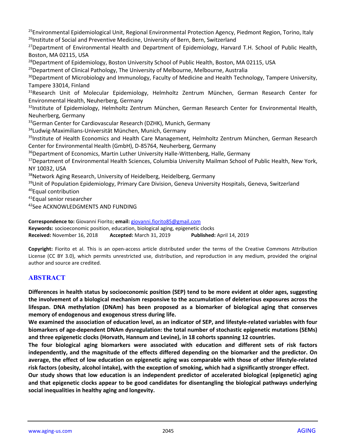<sup>25</sup>Environmental Epidemiological Unit, Regional Environmental Protection Agency, Piedmont Region, Torino, Italy <sup>26</sup>Institute of Social and Preventive Medicine, University of Bern, Bern, Switzerland

<sup>27</sup>Department of Environmental Health and Department of Epidemiology, Harvard T.H. School of Public Health, Boston, MA 02115, USA

<sup>28</sup>Department of Epidemiology, Boston University School of Public Health, Boston, MA 02115, USA

<sup>29</sup>Department of Clinical Pathology, The University of Melbourne, Melbourne, Australia

<sup>30</sup>Department of Microbiology and Immunology, Faculty of Medicine and Health Technology, Tampere University, Tampere 33014, Finland

<sup>31</sup>Research Unit of Molecular Epidemiology, Helmholtz Zentrum München, German Research Center for Environmental Health, Neuherberg, Germany

<sup>32</sup>Institute of Epidemiology, Helmholtz Zentrum München, German Research Center for Environmental Health, Neuherberg, Germany

<sup>33</sup>German Center for Cardiovascular Research (DZHK), Munich, Germany

34Ludwig-Maximilians-Universität München, Munich, Germany

<sup>35</sup>Institute of Health Economics and Health Care Management, Helmholtz Zentrum München, German Research Center for Environmental Health (GmbH), D-85764, Neuherberg, Germany

<sup>36</sup>Department of Economics, Martin Luther University Halle-Wittenberg, Halle, Germany

<sup>37</sup>Department of Environmental Health Sciences, Columbia University Mailman School of Public Health, New York, NY 10032, USA

<sup>38</sup>Network Aging Research, University of Heidelberg, Heidelberg, Germany

<sup>39</sup>Unit of Population Epidemiology, Primary Care Division, Geneva University Hospitals, Geneva, Switzerland

40Equal contribution

41Equal senior researcher

42See ACKNOWLEDGMENTS AND FUNDING

**Correspondence to:** Giovanni Fiorito; **email:** giovanni.fiorito85@gmail.com

**Keywords:** socioeconomic position, education, biological aging, epigenetic clocks **Received:** November 16, 2018 **Accepted:** March 31, 2019 **Published:** April 14, 2019

**Copyright:** Fiorito et al. This is an open-access article distributed under the terms of the Creative Commons Attribution License (CC BY 3.0), which permits unrestricted use, distribution, and reproduction in any medium, provided the original author and source are credited.

# **ABSTRACT**

Differences in health status by socioeconomic position (SEP) tend to be more evident at older ages, suggesting **the involvement of a biological mechanism responsive to the accumulation of deleterious exposures across the lifespan. DNA methylation (DNAm) has been proposed as a biomarker of biological aging that conserves memory of endogenous and exogenous stress during life.**

We examined the association of education level, as an indicator of SEP, and lifestyle-related variables with four **biomarkers of age-dependent DNAm dysregulation: the total number of stochastic epigenetic mutations (SEMs) and three epigenetic clocks (Horvath, Hannum and Levine), in 18 cohorts spanning 12 countries.**

**The four biological aging biomarkers were associated with education and different sets of risk factors independently, and the magnitude of the effects differed depending on the biomarker and the predictor. On average, the effect of low education on epigenetic aging was comparable with those of other lifestyle-related** risk factors (obesity, alcohol intake), with the exception of smoking, which had a significantly stronger effect.

**Our study shows that low education is an independent predictor of accelerated biological (epigenetic) aging and that epigenetic clocks appear to be good candidates for disentangling the biological pathways underlying social inequalities in healthy aging and longevity.**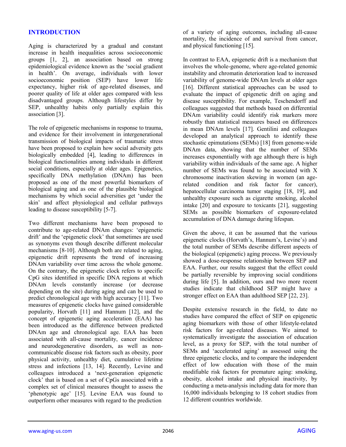# **INTRODUCTION**

Aging is characterized by a gradual and constant increase in health inequalities across socioeconomic groups [1, 2], an association based on strong epidemiological evidence known as the 'social gradient in health'. On average, individuals with lower socioeconomic position (SEP) have lower life expectancy, higher risk of age-related diseases, and poorer quality of life at older ages compared with less disadvantaged groups. Although lifestyles differ by SEP, unhealthy habits only partially explain this association [3].

The role of epigenetic mechanisms in response to trauma, and evidence for their involvement in intergenerational transmission of biological impacts of traumatic stress have been proposed to explain how social adversity gets biologically embedded [4], leading to differences in biological functionalities among individuals in different social conditions, especially at older ages. Epigenetics, specifically DNA methylation (DNAm) has been proposed as one of the most powerful biomarkers of biological aging and as one of the plausible biological mechanisms by which social adversities get 'under the skin' and affect physiological and cellular pathways leading to disease susceptibility [5-7].

Two different mechanisms have been proposed to contribute to age-related DNAm changes: 'epigenetic drift' and the 'epigenetic clock' that sometimes are used as synonyms even though describe different molecular mechanisms [8-10]. Although both are related to aging, epigenetic drift represents the trend of increasing DNAm variability over time across the whole genome. On the contrary, the epigenetic clock refers to specific CpG sites identified in specific DNA regions at which DNAm levels constantly increase (or decrease depending on the site) during aging and can be used to predict chronological age with high accuracy [11]. Two measures of epigenetic clocks have gained considerable popularity, Horvath [11] and Hannum [12], and the concept of epigenetic aging acceleration (EAA) has been introduced as the difference between predicted DNAm age and chronological age. EAA has been associated with all-cause mortality, cancer incidence and neurodegenerative disorders, as well as noncommunicable disease risk factors such as obesity, poor physical activity, unhealthy diet, cumulative lifetime stress and infections [13, 14]. Recently, Levine and colleagues introduced a 'next-generation epigenetic clock' that is based on a set of CpGs associated with a complex set of clinical measures thought to assess the 'phenotypic age' [15]. Levine EAA was found to outperform other measures with regard to the prediction

of a variety of aging outcomes, including all-cause mortality, the incidence of and survival from cancer, and physical functioning [15].

In contrast to EAA, epigenetic drift is a mechanism that involves the whole-genome, where age-related genomic instability and chromatin deterioration lead to increased variability of genome-wide DNAm levels at older ages [16]. Different statistical approaches can be used to evaluate the impact of epigenetic drift on aging and disease susceptibility. For example, Teschendorff and colleagues suggested that methods based on differential DNAm variability could identify risk markers more robustly than statistical measures based on differences in mean DNAm levels [17]. Gentilini and colleagues developed an analytical approach to identify these stochastic epimutations (SEMs) [18] from genome-wide DNAm data, showing that the number of SEMs increases exponentially with age although there is high variability within individuals of the same age. A higher number of SEMs was found to be associated with X chromosome inactivation skewing in women (an agerelated condition and risk factor for cancer), hepatocellular carcinoma tumor staging [18, 19], and unhealthy exposure such as cigarette smoking, alcohol intake [20] and exposure to toxicants [21], suggesting SEMs as possible biomarkers of exposure-related accumulation of DNA damage during lifespan.

Given the above, it can be assumed that the various epigenetic clocks (Horvath's, Hannum's, Levine's) and the total number of SEMs describe different aspects of the biological (epigenetic) aging process. We previously showed a dose-response relationship between SEP and EAA. Further, our results suggest that the effect could be partially reversible by improving social conditions during life [5]. In addition, ours and two more recent studies indicate that childhood SEP might have a stronger effect on EAA than adulthood SEP [22, 23].

Despite extensive research in the field, to date no studies have compared the effect of SEP on epigenetic aging biomarkers with those of other lifestyle-related risk factors for age-related diseases. We aimed to systematically investigate the association of education level, as a proxy for SEP, with the total number of SEMs and 'accelerated aging' as assessed using the three epigenetic clocks, and to compare the independent effect of low education with those of the main modifiable risk factors for premature aging: smoking, obesity, alcohol intake and physical inactivity, by conducting a meta-analysis including data for more than 16,000 individuals belonging to 18 cohort studies from 12 different countries worldwide.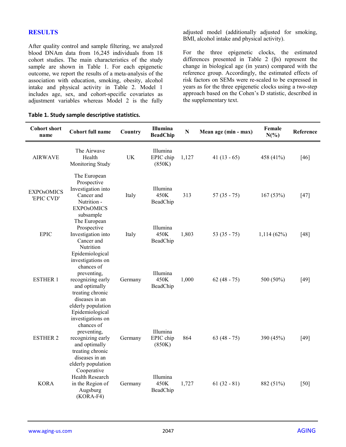## **RESULTS**

After quality control and sample filtering, we analyzed blood DNAm data from 16,245 individuals from 18 cohort studies. The main characteristics of the study sample are shown in Table 1. For each epigenetic outcome, we report the results of a meta-analysis of the association with education, smoking, obesity, alcohol intake and physical activity in Table 2. Model 1 includes age, sex, and cohort-specific covariates as adjustment variables whereas Model 2 is the fully

#### **Table 1. Study sample descriptive statistics.**

adjusted model (additionally adjusted for smoking, BMI, alcohol intake and physical activity).

For the three epigenetic clocks, the estimated differences presented in Table 2 (βs) represent the change in biological age (in years) compared with the reference group. Accordingly, the estimated effects of risk factors on SEMs were re-scaled to be expressed in years as for the three epigenetic clocks using a two-step approach based on the Cohen's D statistic, described in the supplementary text.

| <b>Cohort</b> short<br>name     | <b>Cohort full name</b>                                                                                                                                             | Country   | Illumina<br><b>BeadChip</b>     | ${\bf N}$ | Mean age (min - max) | Female<br>$N(\%)$ | Reference |
|---------------------------------|---------------------------------------------------------------------------------------------------------------------------------------------------------------------|-----------|---------------------------------|-----------|----------------------|-------------------|-----------|
| <b>AIRWAVE</b>                  | The Airwave<br>Health<br>Monitoring Study                                                                                                                           | <b>UK</b> | Illumina<br>EPIC chip<br>(850K) | 1,127     | 41 $(13 - 65)$       | 458 (41%)         | $[46]$    |
| <b>EXPOSOMICS</b><br>'EPIC CVD' | The European<br>Prospective<br>Investigation into<br>Cancer and<br>Nutrition -<br><b>EXPOSOMICS</b><br>subsample                                                    | Italy     | Illumina<br>450K<br>BeadChip    | 313       | $57(35 - 75)$        | 167(53%)          | $[47]$    |
| <b>EPIC</b>                     | The European<br>Prospective<br>Investigation into<br>Cancer and<br>Nutrition                                                                                        | Italy     | Illumina<br>450K<br>BeadChip    | 1,803     | $53(35 - 75)$        | $1,114(62\%)$     | [48]      |
| <b>ESTHER 1</b>                 | Epidemiological<br>investigations on<br>chances of<br>preventing,<br>recognizing early<br>and optimally<br>treating chronic<br>diseases in an<br>elderly population | Germany   | Illumina<br>450K<br>BeadChip    | 1,000     | $62(48 - 75)$        | 500 (50%)         | $[49]$    |
| <b>ESTHER 2</b>                 | Epidemiological<br>investigations on<br>chances of<br>preventing,<br>recognizing early<br>and optimally<br>treating chronic<br>diseases in an<br>elderly population | Germany   | Illumina<br>EPIC chip<br>(850K) | 864       | $63(48 - 75)$        | 390 (45%)         | $[49]$    |
| <b>KORA</b>                     | Cooperative<br>Health Research<br>in the Region of<br>Augsburg<br>$(KORA-F4)$                                                                                       | Germany   | Illumina<br>450K<br>BeadChip    | 1,727     | $61(32-81)$          | 882 (51%)         | $[50]$    |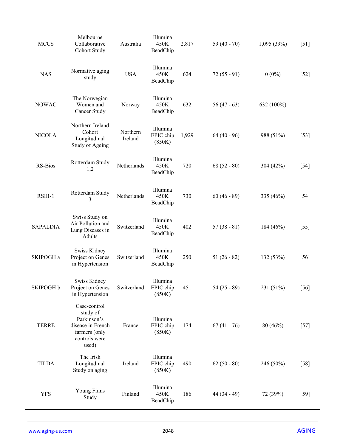| <b>MCCS</b>     | Melbourne<br>Collaborative<br>Cohort Study                                                              | Australia             | Illumina<br>450K<br>BeadChip    | 2,817 | 59 $(40 - 70)$ | 1,095(39%) | $[51]$ |
|-----------------|---------------------------------------------------------------------------------------------------------|-----------------------|---------------------------------|-------|----------------|------------|--------|
| <b>NAS</b>      | Normative aging<br>study                                                                                | <b>USA</b>            | Illumina<br>450K<br>BeadChip    | 624   | $72(55-91)$    | $0(0\%)$   | $[52]$ |
| <b>NOWAC</b>    | The Norwegian<br>Women and<br>Cancer Study                                                              | Norway                | Illumina<br>450K<br>BeadChip    | 632   | $56(47-63)$    | 632 (100%) |        |
| <b>NICOLA</b>   | Northern Ireland<br>Cohort<br>Longitudinal<br>Study of Ageing                                           | Northern<br>Ireland   | Illumina<br>EPIC chip<br>(850K) | 1,929 | $64(40-96)$    | 988 (51%)  | $[53]$ |
| RS-Bios         | Rotterdam Study<br>1,2                                                                                  | Netherlands           | Illumina<br>450K<br>BeadChip    | 720   | $68(52-80)$    | 304 (42%)  | $[54]$ |
| RSIII-1         | Rotterdam Study<br>3                                                                                    | Netherlands           | Illumina<br>450K<br>BeadChip    | 730   | $60(46-89)$    | 335 (46%)  | $[54]$ |
| <b>SAPALDIA</b> | Swiss Study on<br>Air Pollution and<br>Lung Diseases in<br>Adults                                       | Switzerland           | Illumina<br>450K<br>BeadChip    | 402   | $57(38-81)$    | 184 (46%)  | $[55]$ |
| SKIPOGH a       | Swiss Kidney<br>Project on Genes<br>in Hypertension                                                     | Switzerland           | Illumina<br>450K<br>BeadChip    | 250   | $51(26-82)$    | 132 (53%)  | [56]   |
| SKIPOGH b       | Swiss Kidney<br>Project on Genes<br>in Hypertension                                                     | Switzerland EPIC chip | Illumina<br>(850K)              | 451   | $54(25-89)$    | 231 (51%)  | $[56]$ |
| <b>TERRE</b>    | Case-control<br>study of<br>Parkinson's<br>disease in French<br>farmers (only<br>controls were<br>used) | France                | Illumina<br>EPIC chip<br>(850K) | 174   | $67(41 - 76)$  | 80 (46%)   | $[57]$ |
| <b>TILDA</b>    | The Irish<br>Longitudinal<br>Study on aging                                                             | Ireland               | Illumina<br>EPIC chip<br>(850K) | 490   | $62(50-80)$    | 246 (50%)  | $[58]$ |
| <b>YFS</b>      | Young Finns<br>Study                                                                                    | Finland               | Illumina<br>450K<br>BeadChip    | 186   | $44(34-49)$    | 72 (39%)   | $[59]$ |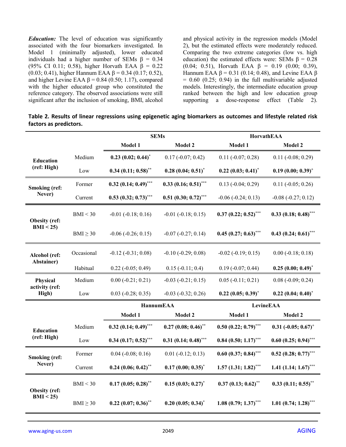*Education:* The level of education was significantly associated with the four biomarkers investigated. In Model 1 (minimally adjusted), lower educated individuals had a higher number of SEMs  $\beta = 0.34$ (95% CI 0.11; 0.58), higher Horvath EAA β = 0.22 (0.03; 0.41), higher Hannum EAA  $\beta$  = 0.34 (0.17; 0.52), and higher Levine EAA  $\beta$  = 0.84 (0.50; 1.17), compared with the higher educated group who constituted the reference category. The observed associations were still significant after the inclusion of smoking, BMI, alcohol

and physical activity in the regression models (Model 2), but the estimated effects were moderately reduced. Comparing the two extreme categories (low vs. high education) the estimated effects were: SEMs  $\beta = 0.28$ (0.04; 0.51), Horvath EAA  $\beta = 0.19$  (0.00; 0.39), Hannum EAA  $\beta$  = 0.31 (0.14; 0.48), and Levine EAA  $\beta$  $= 0.60$  (0.25; 0.94) in the full multivariable adjusted models. Interestingly, the intermediate education group ranked between the high and low education group supporting a dose-response effect (Table 2).

|                        | Table 2. Results of linear regressions using epigenetic aging biomarkers as outcomes and lifestyle related risk |  |  |
|------------------------|-----------------------------------------------------------------------------------------------------------------|--|--|
| factors as predictors. |                                                                                                                 |  |  |

|                            |               | <b>SEMs</b>                       |                         | <b>HorvathEAA</b>                  |                                   |  |
|----------------------------|---------------|-----------------------------------|-------------------------|------------------------------------|-----------------------------------|--|
|                            |               | Model 1                           | Model 2                 | Model 1                            | <b>Model 2</b>                    |  |
| Education                  | Medium        | $0.23(0.02; 0.44)^{*}$            | $0.17(-0.07; 0.42)$     | $0.11 (-0.07; 0.28)$               | $0.11 (-0.08; 0.29)$              |  |
| (ref: High)                | Low           | $0.34(0.11; 0.58)$ **             | $0.28(0.04; 0.51)^{*}$  | $0.22$ $(0.03; 0.41)^*$            | $0.19(0.00; 0.39)^+$              |  |
| <b>Smoking</b> (ref:       | Former        | $0.32$ $(0.14; 0.49)$ ***         | $0.33(0.16; 0.51)$ ***  | $0.13$ (-0.04; 0.29)               | $0.11 (-0.05; 0.26)$              |  |
| Never)                     | Current       | $0.53$ $(0.32; 0.73)$ ***         | $0.51(0.30; 0.72)$ ***  | $-0.06$ $(-0.24; 0.13)$            | $-0.08$ $(-0.27; 0.12)$           |  |
| <b>Obesity</b> (ref:       | BMI < 30      | $-0.01$ $(-0.18; 0.16)$           | $-0.01$ $(-0.18; 0.15)$ | $0.37(0.22; 0.52)$ ***             | $0.33(0.18; 0.48)$ ***            |  |
| BMI < 25                   | $BMI \geq 30$ | $-0.06$ $(-0.26; 0.15)$           | $-0.07$ $(-0.27; 0.14)$ | $0.45(0.27; 0.63)$ ***             | $0.43(0.24; 0.61)$ ***            |  |
| Alcohol (ref:              | Occasional    | $-0.12$ $(-0.31; 0.08)$           | $-0.10$ $(-0.29; 0.08)$ | $-0.02$ $(-0.19; 0.15)$            | $0.00 (-0.18; 0.18)$              |  |
| <b>Abstainer)</b>          | Habitual      | $0.22$ (-0.05; 0.49)              | $0.15 (-0.11; 0.4)$     | $0.19$ (-0.07; 0.44)               | $0.25(0.00; 0.49)^{*}$            |  |
| Physical<br>activity (ref: | Medium        | $0.00 (-0.21; 0.21)$              | $-0.03$ $(-0.21; 0.15)$ | $0.05 (-0.11; 0.21)$               | $0.08 (-0.09; 0.24)$              |  |
| High)                      | Low           | $0.03$ ( $-0.28$ ; 0.35)          | $-0.03$ $(-0.32; 0.26)$ | $0.22$ $(0.05; 0.39)^*$            | $0.22$ $(0.04; 0.40)^*$           |  |
|                            |               | <b>HannumEAA</b>                  |                         | <b>LevineEAA</b>                   |                                   |  |
|                            |               | Model 1                           | Model 2                 | Model 1                            | <b>Model 2</b>                    |  |
| <b>Education</b>           | Medium        | $0.32$ $(0.14; 0.49)^{***}$       | $0.27(0.08; 0.46)$ **   | $0.50$ $(0.22; 0.79)$ ***          | $0.31$ (-0.05; 0.67) <sup>+</sup> |  |
| (ref: High)                | Low           | $0.34$ $(0.17; 0.52)$ ***         | $0.31(0.14; 0.48)$ ***  | $0.84$ $(0.50; 1.17)$ ***          | $0.60(0.25; 0.94)$ ***            |  |
| <b>Smoking</b> (ref:       | Former        | $0.04 (-0.08; 0.16)$              | $0.01 (-0.12; 0.13)$    | $0.60$ $(0.37; 0.84)$ ***          | $0.52$ $(0.28; 0.77)$ ***         |  |
| Never)                     | Current       | $0.24$ (0.06; 0.42) <sup>**</sup> | $0.17(0.00; 0.35)^{*}$  | $1.57(1.31; 1.82)$ ***             | 1.41 $(1.14; 1.67)$ ***           |  |
| Obesity (ref:              | BMI < 30      | $0.17(0.05; 0.28)$ **             | $0.15(0.03; 0.27)^{*}$  | $0.37(0.13; 0.62)^{**}$            | $0.33(0.11; 0.55)$ **             |  |
| BMI < 25                   | $BMI \geq 30$ | $0.22$ (0.07; 0.36) <sup>**</sup> | $0.20(0.05; 0.34)^{*}$  | $1.08$ (0.79; 1.37) <sup>***</sup> | $1.01~(0.74; 1.28)$ ***           |  |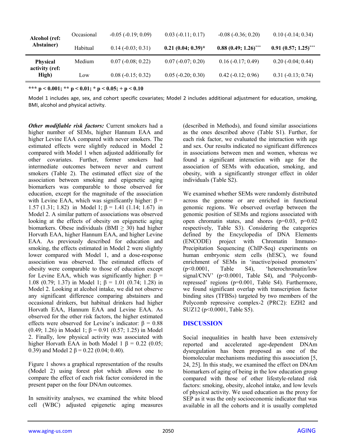| Alcohol (ref:           | Occasional | $-0.05$ ( $-0.19$ ; 0.09) | $0.03$ (-0.11; 0.17) | $-0.08$ ( $-0.36$ ; 0.20) | $0.10(-0.14; 0.34)$    |
|-------------------------|------------|---------------------------|----------------------|---------------------------|------------------------|
| <b>Abstainer)</b>       | Habitual   | $0.14 (-0.03; 0.31)$      | $0.21(0.04; 0.39)^*$ | $0.88(0.49; 1.26)$ ***    | $0.91(0.57; 1.25)$ *** |
| Physical                | Medium     | $0.07 (-0.08; 0.22)$      | $0.07 (-0.07; 0.20)$ | $0.16(-0.17; 0.49)$       | $0.20$ (-0.04; 0.44)   |
| activity (ref:<br>High) | Low        | $0.08(-0.15; 0.32)$       | $0.05 (-0.20; 0.30)$ | $0.42$ (-0.12; 0.96)      | $0.31(-0.13; 0.74)$    |

**\*\*\* p < 0.001; \*\* p < 0.01; \* p < 0.05; + p < 0.10**

Model 1 includes age, sex, and cohort specific covariates; Model 2 includes additional adjustment for education, smoking, BMI, alcohol and physical activity.

*Other modifiable risk factors:* Current smokers had a higher number of SEMs, higher Hannum EAA and higher Levine EAA compared with never smokers. The estimated effects were slightly reduced in Model 2 compared with Model 1 when adjusted additionally for other covariates. Further, former smokers had intermediate outcomes between never and current smokers (Table 2). The estimated effect size of the association between smoking and epigenetic aging biomarkers was comparable to those observed for education, except for the magnitude of the association with Levine EAA, which was significantly higher:  $β =$ 1.57 (1.31; 1.82) in Model 1;  $β = 1.41$  (1.14; 1.67) in Model 2. A similar pattern of associations was observed looking at the effects of obesity on epigenetic aging biomarkers. Obese individuals (BMI  $\geq$  30) had higher Horvath EAA, higher Hannum EAA, and higher Levine EAA. As previously described for education and smoking, the effects estimated in Model 2 were slightly lower compared with Model 1, and a dose-response association was observed. The estimated effects of obesity were comparable to those of education except for Levine EAA, which was significantly higher: β = 1.08 (0.79; 1.37) in Model 1;  $β = 1.01$  (0.74; 1.28) in Model 2. Looking at alcohol intake, we did not observe any significant difference comparing abstainers and occasional drinkers, but habitual drinkers had higher Horvath EAA, Hannum EAA and Levine EAA. As observed for the other risk factors, the higher estimated effects were observed for Levine's indicator:  $\beta = 0.88$ (0.49; 1.26) in Model 1;  $\beta$  = 0.91 (0.57; 1.25) in Model 2. Finally, low physical activity was associated with higher Horvath EAA in both Model 1 β = 0.22 (0.05; 0.39) and Model 2  $\beta$  = 0.22 (0.04; 0.40).

Figure 1 shows a graphical representation of the results (Model 2) using forest plot which allows one to compare the effect of each risk factor considered in the present paper on the four DNAm outcomes.

In sensitivity analyses, we examined the white blood cell (WBC) adjusted epigenetic aging measures (described in Methods), and found similar associations as the ones described above (Table S1). Further, for each risk factor, we evaluated the interaction with age and sex. Our results indicated no significant differences in associations between men and women, whereas we found a significant interaction with age for the association of SEMs with education, smoking, and obesity, with a significantly stronger effect in older individuals (Table S2).

We examined whether SEMs were randomly distributed across the genome or are enriched in functional genomic regions. We observed overlap between the genomic position of SEMs and regions associated with open chromatin states, and shores  $(p=0.03, p=0.02)$ respectively, Table S3). Considering the categories defined by the Encyclopedia of DNA Elements (ENCODE) project with Chromatin Immuno-Precipitation Sequencing (ChIP-Seq) experiments on human embryonic stem cells (hESC), we found enrichment of SEMs in 'inactive/poised promoters' (p<0.0001, Table S4), 'heterochromatin/low signal/CNV' (p<0.0001, Table S4), and 'Polycombrepressed' regions (p=0.001, Table S4). Furthermore, we found significant overlap with transcription factor binding sites (TFBSs) targeted by two members of the Polycomb repressive complex-2 (PRC2): EZH2 and SUZ12 (p<0.0001, Table S5).

## **DISCUSSION**

Social inequalities in health have been extensively reported and accelerated age-dependent DNAm dysregulation has been proposed as one of the biomolecular mechanisms mediating this association [5, 24, 25]. In this study, we examined the effect on DNAm biomarkers of aging of being in the low education group compared with those of other lifestyle-related risk factors: smoking, obesity, alcohol intake, and low levels of physical activity. We used education as the proxy for SEP as it was the only socioeconomic indicator that was available in all the cohorts and it is usually completed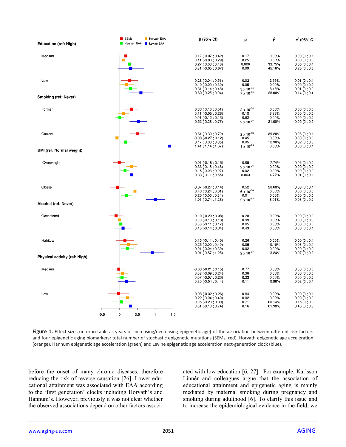

Figure 1. Effect sizes (interpretable as years of increasing/decreasing epigenetic age) of the association between different risk factors and four epigenetic aging biomarkers: total number of stochastic epigenetic mutations (SEMs, red), Horvath epigenetic age acceleration (orange), Hannum epigenetic age acceleration (green) and Levine epigenetic age acceleration next-generation clock (blue).

before the onset of many chronic diseases, therefore reducing the risk of reverse causation [26]. Lower educational attainment was associated with EAA according to the 'first generation' clocks including Horvath's and Hannum's. However, previously it was not clear whether the observed associations depend on other factors associated with low education [6, 27]. For example, Karlsson Linnér and colleagues argue that the association of educational attainment and epigenetic aging is mainly mediated by maternal smoking during pregnancy and smoking during adulthood [6]. To clarify this issue and to increase the epidemiological evidence in the field, we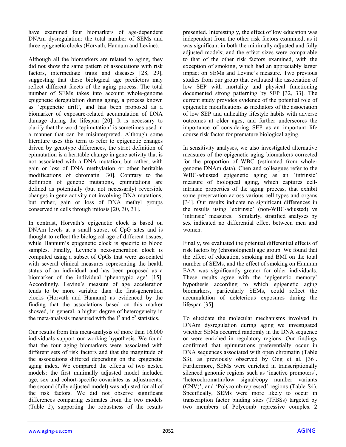have examined four biomarkers of age-dependent DNAm dysregulation: the total number of SEMs and three epigenetic clocks (Horvath, Hannum and Levine).

Although all the biomarkers are related to aging, they did not show the same pattern of associations with risk factors, intermediate traits and diseases [28, 29], suggesting that these biological age predictors may reflect different facets of the aging process. The total number of SEMs takes into account whole-genome epigenetic deregulation during aging, a process known as 'epigenetic drift', and has been proposed as a biomarker of exposure-related accumulation of DNA damage during the lifespan [20]. It is necessary to clarify that the word 'epimutation' is sometimes used in a manner that can be misinterpreted. Although some literature uses this term to refer to epigenetic changes driven by genotype differences, the strict definition of epimutation is a heritable change in gene activity that is not associated with a DNA mutation, but rather, with gain or loss of DNA methylation or other heritable modifications of chromatin [30]. Contrary to the definition of genetic mutations, epimutations are defined as potentially (but not necessarily) reversible changes in gene activity not involving DNA mutations, but rather, gain or loss of DNA methyl groups conserved in cells through mitosis [20, 30, 31].

In contrast, Horvath's epigenetic clock is based on DNAm levels at a small subset of CpG sites and is thought to reflect the biological age of different tissues, while Hannum's epigenetic clock is specific to blood samples. Finally, Levine's next-generation clock is computed using a subset of CpGs that were associated with several clinical measures representing the health status of an individual and has been proposed as a biomarker of the individual 'phenotypic age' [15]. Accordingly, Levine's measure of age acceleration tends to be more variable than the first-generation clocks (Horvath and Hannum) as evidenced by the finding that the associations based on this marker showed, in general, a higher degree of heterogeneity in the meta-analysis measured with the  $I^2$  and  $\tau^2$  statistics.

Our results from this meta-analysis of more than 16,000 individuals support our working hypothesis. We found that the four aging biomarkers were associated with different sets of risk factors and that the magnitude of the associations differed depending on the epigenetic aging index. We compared the effects of two nested models: the first minimally adjusted model included age, sex and cohort-specific covariates as adjustments; the second (fully adjusted model) was adjusted for all of the risk factors. We did not observe significant differences comparing estimates from the two models (Table 2), supporting the robustness of the results

presented. Interestingly, the effect of low education was independent from the other risk factors examined, as it was significant in both the minimally adjusted and fully adjusted models; and the effect sizes were comparable to that of the other risk factors examined, with the exception of smoking, which had an appreciably larger impact on SEMs and Levine's measure. Two previous studies from our group that evaluated the association of low SEP with mortality and physical functioning documented strong patterning by SEP [32, 33]. The current study provides evidence of the potential role of epigenetic modifications as mediators of the association of low SEP and unhealthy lifestyle habits with adverse outcomes at older ages, and further underscores the importance of considering SEP as an important life course risk factor for premature biological aging.

In sensitivity analyses, we also investigated alternative measures of the epigenetic aging biomarkers corrected for the proportion of WBC (estimated from wholegenome DNAm data). Chen and colleagues refer to the WBC-adjusted epigenetic aging as an 'intrinsic' measure of biological aging, which captures cellintrinsic properties of the aging process, that exhibit some preservation across various cell types and organs [34]. Our results indicate no significant differences in the results using 'extrinsic' (non-WBC-adjusted) vs 'intrinsic' measures. Similarly, stratified analyses by sex indicated no differential effect between men and women.

Finally, we evaluated the potential differential effects of risk factors by (chronological) age group. We found that the effect of education, smoking and BMI on the total number of SEMs, and the effect of smoking on Hannum EAA was significantly greater for older individuals. These results agree with the 'epigenetic memory' hypothesis according to which epigenetic aging biomarkers, particularly SEMs, could reflect the accumulation of deleterious exposures during the lifespan [35].

To elucidate the molecular mechanisms involved in DNAm dysregulation during aging we investigated whether SEMs occurred randomly in the DNA sequence or were enriched in regulatory regions. Our findings confirmed that epimutations preferentially occur in DNA sequences associated with open chromatin (Table S3), as previously observed by Ong et al. [36]. Furthermore, SEMs were enriched in transcriptionally silenced genomic regions such as 'inactive promoters', 'heterochromatin/low signal/copy number variants (CNV)', and 'Polycomb-repressed' regions (Table S4). Specifically, SEMs were more likely to occur in transcription factor binding sites (TFBSs) targeted by two members of Polycomb repressive complex 2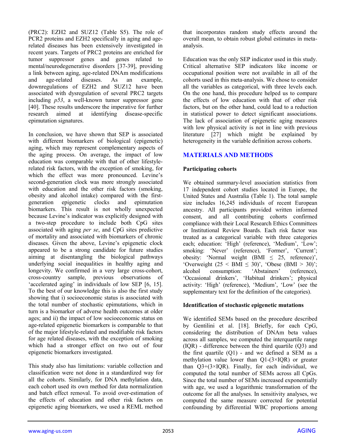(PRC2): EZH2 and SUZ12 (Table S5). The role of PCR2 proteins and EZH2 specifically in aging and agerelated diseases has been extensively investigated in recent years. Targets of PRC2 proteins are enriched for tumor suppressor genes and genes related to mental/neurodegenerative disorders [37-39], providing a link between aging, age-related DNAm modifications and age-related diseases. As an example, downregulations of EZH2 and SUZ12 have been associated with dysregulation of several PRC2 targets including *p53*, a well-known tumor suppressor gene [40]. These results underscore the imperative for further research aimed at identifying disease-specific epimutation signatures.

In conclusion, we have shown that SEP is associated with different biomarkers of biological (epigenetic) aging, which may represent complementary aspects of the aging process. On average, the impact of low education was comparable with that of other lifestylerelated risk factors, with the exception of smoking, for which the effect was more pronounced. Levine's second-generation clock was more strongly associated with education and the other risk factors (smoking, obesity and alcohol intake) compared with the firstgeneration epigenetic clocks and epimutation biomarkers. This result is not wholly unexpected because Levine's indicator was explicitly designed with a two-step procedure to include both CpG sites associated with aging *per se*, and CpG sites predictive of mortality and associated with biomarkers of chronic diseases. Given the above, Levine's epigenetic clock appeared to be a strong candidate for future studies aiming at disentangling the biological pathways underlying social inequalities in healthy aging and longevity. We confirmed in a very large cross-cohort, cross-country sample, previous observations of 'accelerated aging' in individuals of low SEP [6, 15]. To the best of our knowledge this is also the first study showing that i) socioeconomic status is associated with the total number of stochastic epimutations, which in turn is a biomarker of adverse health outcomes at older ages; and ii) the impact of low socioeconomic status on age-related epigenetic biomarkers is comparable to that of the major lifestyle-related and modifiable risk factors for age related diseases, with the exception of smoking which had a stronger effect on two out of four epigenetic biomarkers investigated.

This study also has limitations: variable collection and classification were not done in a standardized way for all the cohorts. Similarly, for DNA methylation data, each cohort used its own method for data normalization and batch effect removal. To avoid over-estimation of the effects of education and other risk factors on epigenetic aging biomarkers, we used a REML method

that incorporates random study effects around the overall mean, to obtain robust global estimates in metaanalysis.

Education was the only SEP indicator used in this study. Critical alternative SEP indicators like income or occupational position were not available in all of the cohorts used in this meta-analysis. We chose to consider all the variables as categorical, with three levels each. On the one hand, this procedure helped us to compare the effects of low education with that of other risk factors, but on the other hand, could lead to a reduction in statistical power to detect significant associations. The lack of association of epigenetic aging measures with low physical activity is not in line with previous literature [27] which might be explained by heterogeneity in the variable definition across cohorts.

# **MATERIALS AND METHODS**

# **Participating cohorts**

We obtained summary-level association statistics from 17 independent cohort studies located in Europe, the United States and Australia (Table 1). The total sample size includes 16,245 individuals of recent European ancestry. All participants provided written informed consent, and all contributing cohorts confirmed compliance with their Local Research Ethics Committees or Institutional Review Boards. Each risk factor was treated as a categorical variable with three categories each; education: 'High' (reference), 'Medium', 'Low'; smoking: 'Never' (reference), 'Former', 'Current'; obesity: 'Normal weight (BMI  $\leq$  25, reference)', 'Overweight  $(25 < BMI \leq 30)$ ', 'Obese  $(BMI > 30)$ '; alcohol consumption: 'Abstainers' (reference), 'Occasional drinkers', 'Habitual drinkers'; physical activity: 'High' (reference), 'Medium', 'Low' (see the supplementary text for the definition of the categories).

# **Identification of stochastic epigenetic mutations**

We identified SEMs based on the procedure described by Gentilini et al. [18]. Briefly, for each CpG, considering the distribution of DNAm beta values across all samples, we computed the interquartile range (IQR) - difference between the third quartile (Q3) and the first quartile  $(Q1)$  - and we defined a SEM as a methylation value lower than  $Q1-(3\times IQR)$  or greater than  $Q3+(3\times IQR)$ . Finally, for each individual, we computed the total number of SEMs across all CpGs. Since the total number of SEMs increased exponentially with age, we used a logarithmic transformation of the outcome for all the analyses. In sensitivity analyses, we computed the same measure corrected for potential confounding by differential WBC proportions among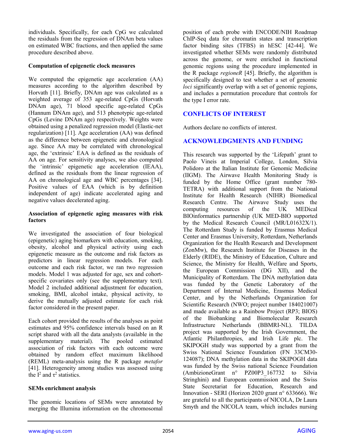individuals. Specifically, for each CpG we calculated the residuals from the regression of DNAm beta values on estimated WBC fractions, and then applied the same procedure described above.

## **Computation of epigenetic clock measures**

We computed the epigenetic age acceleration (AA) measures according to the algorithm described by Horvath [11]. Briefly, DNAm age was calculated as a weighted average of 353 age-related CpGs (Horvath DNAm age), 71 blood specific age-related CpGs (Hannum DNAm age), and 513 phenotypic age-related CpGs (Levine DNAm age) respectively. Weights were obtained using a penalized regression model (Elastic-net regularization) [11]. Age acceleration (AA) was defined as the difference between epigenetic and chronological age. Since AA may be correlated with chronological age, the 'extrinsic' EAA is defined as the residuals of AA on age. For sensitivity analyses, we also computed the 'intrinsic' epigenetic age acceleration (IEAA), defined as the residuals from the linear regression of AA on chronological age and WBC percentages [34]. Positive values of EAA (which is by definition independent of age) indicate accelerated aging and negative values decelerated aging.

#### **Association of epigenetic aging measures with risk factors**

We investigated the association of four biological (epigenetic) aging biomarkers with education, smoking, obesity, alcohol and physical activity using each epigenetic measure as the outcome and risk factors as predictors in linear regression models. For each outcome and each risk factor, we ran two regression models. Model 1 was adjusted for age, sex and cohortspecific covariates only (see the supplementary text). Model 2 included additional adjustment for education, smoking, BMI, alcohol intake, physical activity, to derive the mutually adjusted estimate for each risk factor considered in the present paper.

Each cohort provided the results of the analyses as point estimates and 95% confidence intervals based on an R script shared with all the data analysts (available in the supplementary material). The pooled estimated association of risk factors with each outcome were obtained by random effect maximum likelihood (REML) meta-analysis using the R package *metafor* [41]. Heterogeneity among studies was assessed using the I<sup>2</sup> and  $\tau^2$  statistics.

# **SEMs enrichment analysis**

The genomic locations of SEMs were annotated by merging the Illumina information on the chromosomal position of each probe with ENCODE/NIH Roadmap ChIP-Seq data for chromatin states and transcription factor binding sites (TFBS) in hESC [42-44]. We investigated whether SEMs were randomly distributed across the genome, or were enriched in functional genomic regions using the procedure implemented in the R package *regioneR* [45]. Briefly, the algorithm is specifically designed to test whether a set of genomic *loci* significantly overlap with a set of genomic regions, and includes a permutation procedure that controls for the type I error rate.

# **CONFLICTS OF INTEREST**

Authors declare no conflicts of interest.

# **ACKNOWLEDGMENTS AND FUNDING**

This research was supported by the 'Lifepath' grant to Paolo Vineis at Imperial College, London, Silvia Polidoro at the Italian Institute for Genomic Medicine (IIGM). The Airwave Health Monitoring Study is funded by the Home Office (grant number 780- TETRA) with additional support from the National Institute for Health Research (NIHR) Biomedical Research Centre. The Airwave Study uses the computing resources of the UK MEDical BIOinformatics partnership (UK MED-BIO supported by the Medical Research Council (MR/L01632X/1). The Rotterdam Study is funded by Erasmus Medical Center and Erasmus University, Rotterdam, Netherlands Organization for the Health Research and Development (ZonMw), the Research Institute for Diseases in the Elderly (RIDE), the Ministry of Education, Culture and Science, the Ministry for Health, Welfare and Sports, the European Commission (DG XII), and the Municipality of Rotterdam. The DNA methylation data was funded by the Genetic Laboratory of the Department of Internal Medicine, Erasmus Medical Center, and by the Netherlands Organization for Scientific Research (NWO; project number 184021007) and made available as a Rainbow Project (RP3; BIOS) of the Biobanking and Biomolecular Research Infrastructure Netherlands (BBMRI-NL). TILDA project was supported by the Irish Government, the Atlantic Philanthropies, and Irish Life plc. The SKIPOGH study was supported by a grant from the Swiss National Science Foundation (FN 33CM30- 124087); DNA methylation data in the SKIPOGH data was funded by the Swiss national Science Foundation (AmbizioneGrant n° PZ00P3\_167732 to Silvia Stringhini) and European commission and the Swiss State Secretariat for Education, Research and Innovation - SERI (Horizon 2020 grant n° 633666). We are grateful to all the participants of NICOLA, Dr Laura Smyth and the NICOLA team, which includes nursing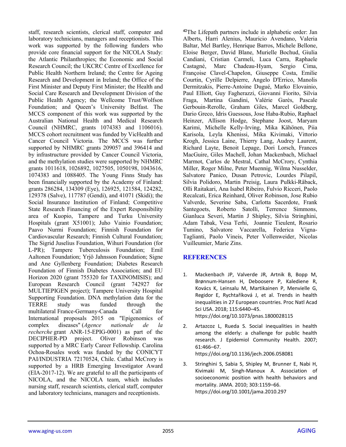staff, research scientists, clerical staff, computer and laboratory technicians, managers and receptionists. This work was supported by the following funders who provide core financial support for the NICOLA Study: the Atlantic Philanthropies; the Economic and Social Research Council; the UKCRC Centre of Excellence for Public Health Northern Ireland; the Centre for Ageing Research and Development in Ireland; the Office of the First Minister and Deputy First Minister; the Health and Social Care Research and Development Division of the Public Health Agency; the Wellcome Trust/Wolfson Foundation; and Queen's University Belfast. The MCCS component of this work was supported by the Australian National Health and Medical Research Council (NHMRC, grants 1074383 and 1106016). MCCS cohort recruitment was funded by VicHealth and Cancer Council Victoria. The MCCS was further supported by NHMRC grants 209057 and 396414 and by infrastructure provided by Cancer Council Victoria, and the methylation studies were supported by NHMRC grants 1011618, 1026892, 1027505, 1050198, 1043616, 1074383 and 1088405. The Young Finns Study has been financially supported by the Academy of Finland: grants 286284, 134309 (Eye), 126925, 121584, 124282, 129378 (Salve), 117787 (Gendi), and 41071 (Skidi); the Social Insurance Institution of Finland; Competitive State Research Financing of the Expert Responsibility area of Kuopio, Tampere and Turku University Hospitals (grant X51001); Juho Vainio Foundation; Paavo Nurmi Foundation; Finnish Foundation for Cardiovascular Research; Finnish Cultural Foundation; The Sigrid Juselius Foundation, Wihuri Foundation (for L-PR); Tampere Tuberculosis Foundation; Emil Aaltonen Foundation; Yrjö Jahnsson Foundation; Signe and Ane Gyllenberg Foundation; Diabetes Research Foundation of Finnish Diabetes Association; and EU Horizon 2020 (grant 755320 for TAXINOMISIS); and European Research Council (grant 742927 for MULTIEPIGEN project); Tampere University Hospital Supporting Foundation. DNA methylation data for the TERRE study was funded through the multilateral France-Germany-Canada Call for International proposals 2015 on "Epigenomics of complex diseases" (*Agence nationale de la recherche* grant ANR-15-EPIG-0001) as part of the DECIPHER-PD project. Oliver Robinson was supported by a MRC Early Career Fellowship. Carolina Ochoa-Rosales work was funded by the CONICYT PAI/INDUSTRIA 72170524, Chile. Cathal McCrory is supported by a HRB Emerging Investigator Award (EIA-2017-12). We are grateful to all the participants of NICOLA, and the NICOLA team, which includes nursing staff, research scientists, clerical staff, computer and laboratory technicians, managers and receptionists.

**<sup>42</sup>**The Lifepath partners include in alphabetic order: Jan Alberts, Harri Alenius, Mauricio Avendano, Valeria Baltar, Mel Bartley, Henrique Barros, Michele Bellone, Eloise Berger, David Blane, Murielle Bochud, Giulia Candiani, Cristian Carmeli, Luca Carra, Raphaele Castagné, Marc Chadeau-Hyam, Sergio Cima, Françoise Clavel-Chapelon, Giuseppe Costa, Emilie Courtin, Cyrille Delpierre, Angelo D'Errico, Manolis Dermitzakis, Pierre-Antoine Dugué, Marko Elovainio, Paul Elliott, Guy Fagherazzi, Giovanni Fiorito, Silvia Fraga, Martina Gandini, Valérie Garès, Pascale Gerbouin-Rerolle, Graham Giles, Marcel Goldberg, Dario Greco, Idris Guessous, Jose Haba-Rubio, Raphael Heinzer, Allison Hodge, Stephane Joost, Maryam Karimi, Michelle Kelly-Irving, Mika Kähönen, Piia Karisola, Leyla Khenissi, Mika Kivimaki, Vittorio Krogh, Jessica Laine, Thierry Lang, Audrey Laurent, Richard Layte, Benoit Lepage, Dori Lorsch, Frances MacGuire, Giles Machell, Johan Mackenbach, Michael Marmot, Carlos de Mestral, Cathal McCrory, Cynthia Miller, Roger Milne, Peter Muennig, Wilma Nusselder, Salvatore Panico, Dusan Petrovic, Lourdes Pilapil, Silvia Polidoro, Martin Preisig, Laura Pulkki-Råback, Olli Raitakari, Ana Isabel Ribeiro, Fulvio Ricceri, Paolo Recalcati, Erica Reinhard, Oliver Robinson, Jose Rubio Valverde, Severine Saba, Carlotta Sacerdote, Frank Santegoets, Roberto Satolli, Terrence Simmons, Gianluca Severi, Martin J Shipley, Silvia Stringhini, Adam Tabak, Vesa Terhi, Joannie Tieulent, Rosario Tumino, Salvatore Vaccarella, Federica Vigna-Taglianti, Paolo Vineis, Peter Vollenweider, Nicolas Vuilleumier, Marie Zins.

# **REFERENCES**

- 1. Mackenbach JP, Valverde JR, Artnik B, Bopp M, Brønnum-Hansen H, Deboosere P, Kalediene R, Kovács K, Leinsalu M, Martikainen P, Menvielle G, Regidor E, Rychtaříková J, et al. Trends in health inequalities in 27 European countries. Proc Natl Acad Sci USA. 2018; 115:6440–45. https://doi.org/10.1073/pnas.1800028115
- 2. Artazcoz L, Rueda S. Social inequalities in health among the elderly: a challenge for public health research. J Epidemiol Community Health. 2007; 61:466–67. https://doi.org/10.1136/jech.2006.058081
- 3. Stringhini S, Sabia S, Shipley M, Brunner E, Nabi H, Kivimaki M, Singh-Manoux A. Association of socioeconomic position with health behaviors and mortality. JAMA. 2010; 303:1159–66. https://doi.org/10.1001/jama.2010.297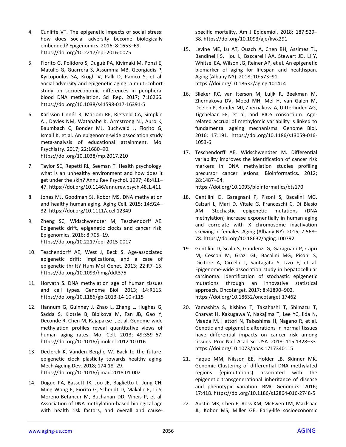- 4. Cunliffe VT. The epigenetic impacts of social stress: how does social adversity become biologically embedded? Epigenomics. 2016; 8:1653–69. https://doi.org/10.2217/epi-2016-0075
- 5. Fiorito G, Polidoro S, Dugué PA, Kivimaki M, Ponzi E, Matullo G, Guarrera S, Assumma MB, Georgiadis P, Kyrtopoulos SA, Krogh V, Palli D, Panico S, et al. Social adversity and epigenetic aging: a multi-cohort study on socioeconomic differences in peripheral blood DNA methylation. Sci Rep. 2017; 7:16266. https://doi.org/10.1038/s41598-017-16391-5
- 6. Karlsson Linnér R, Marioni RE, Rietveld CA, Simpkin AJ, Davies NM, Watanabe K, Armstrong NJ, Auro K, Baumbach C, Bonder MJ, Buchwald J, Fiorito G, Ismail K, et al. An epigenome-wide association study meta-analysis of educational attainment. Mol Psychiatry. 2017; 22:1680–90. https://doi.org/10.1038/mp.2017.210
- 7. Taylor SE, Repetti RL, Seeman T. Health psychology: what is an unhealthy environment and how does it get under the skin? Annu Rev Psychol. 1997; 48:411– 47. https://doi.org/10.1146/annurev.psych.48.1.411
- 8. Jones MJ, Goodman SJ, Kobor MS. DNA methylation and healthy human aging. Aging Cell. 2015; 14:924– 32. https://doi.org/10.1111/acel.12349
- 9. Zheng SC, Widschwendter M, Teschendorff AE. Epigenetic drift, epigenetic clocks and cancer risk. Epigenomics. 2016; 8:705–19. https://doi.org/10.2217/epi-2015-0017
- 10. Teschendorff AE, West J, Beck S. Age-associated epigenetic drift: implications, and a case of epigenetic thrift? Hum Mol Genet. 2013; 22:R7–15. https://doi.org/10.1093/hmg/ddt375
- 11. Horvath S. DNA methylation age of human tissues and cell types. Genome Biol. 2013; 14:R115. https://doi.org/10.1186/gb-2013-14-10-r115
- 12. Hannum G, Guinney J, Zhao L, Zhang L, Hughes G, Sadda S, Klotzle B, Bibikova M, Fan JB, Gao Y, Deconde R, Chen M, Rajapakse I, et al. Genome-wide methylation profiles reveal quantitative views of human aging rates. Mol Cell. 2013; 49:359–67. https://doi.org/10.1016/j.molcel.2012.10.016
- 13. Declerck K, Vanden Berghe W. Back to the future: epigenetic clock plasticity towards healthy aging. Mech Ageing Dev. 2018; 174:18–29. https://doi.org/10.1016/j.mad.2018.01.002
- 14. Dugue PA, Bassett JK, Joo JE, Baglietto L, Jung CH, Ming Wong E, Fiorito G, Schmidt D, Makalic E, Li S, Moreno-Betancur M, Buchanan DD, Vineis P, et al. Association of DNA methylation-based biological age with health risk factors, and overall and cause-

specific mortality. Am J Epidemiol. 2018; 187:529– 38. https://doi.org/10.1093/aje/kwx291

- 15. Levine ME, Lu AT, Quach A, Chen BH, Assimes TL, Bandinelli S, Hou L, Baccarelli AA, Stewart JD, Li Y, Whitsel EA, Wilson JG, Reiner AP, et al. An epigenetic biomarker of aging for lifespan and healthspan. Aging (Albany NY). 2018; 10:573–91. https://doi.org/10.18632/aging.101414
- 16. Slieker RC, van Iterson M, Luijk R, Beekman M, Zhernakova DV, Moed MH, Mei H, van Galen M, Deelen P, Bonder MJ, Zhernakova A, Uitterlinden AG, Tigchelaar EF, et al, and BIOS consortium. Agerelated accrual of methylomic variability is linked to fundamental ageing mechanisms. Genome Biol. 2016; 17:191. https://doi.org/10.1186/s13059-016- 1053-6
- 17. Teschendorff AE, Widschwendter M. Differential variability improves the identification of cancer risk markers in DNA methylation studies profiling precursor cancer lesions. Bioinformatics. 2012; 28:1487–94. https://doi.org/10.1093/bioinformatics/bts170
- 18. Gentilini D, Garagnani P, Pisoni S, Bacalini MG, Calzari L, Mari D, Vitale G, Franceschi C, Di Blasio AM. Stochastic epigenetic mutations (DNA methylation) increase exponentially in human aging and correlate with X chromosome inactivation skewing in females. Aging (Albany NY). 2015; 7:568– 78. https://doi.org/10.18632/aging.100792
- 19. Gentilini D, Scala S, Gaudenzi G, Garagnani P, Capri M, Cescon M, Grazi GL, Bacalini MG, Pisoni S, Dicitore A, Circelli L, Santagata S, Izzo F, et al. Epigenome-wide association study in hepatocellular carcinoma: identification of stochastic epigenetic mutations through an innovative statistical approach. Oncotarget. 2017; 8:41890–902. https://doi.org/10.18632/oncotarget.17462
- 20. Yamashita S, Kishino T, Takahashi T, Shimazu T, Charvat H, Kakugawa Y, Nakajima T, Lee YC, Iida N, Maeda M, Hattori N, Takeshima H, Nagano R, et al. Genetic and epigenetic alterations in normal tissues have differential impacts on cancer risk among tissues. Proc Natl Acad Sci USA. 2018; 115:1328–33. https://doi.org/10.1073/pnas.1717340115
- 21. Haque MM, Nilsson EE, Holder LB, Skinner MK. Genomic Clustering of differential DNA methylated regions (epimutations) associated with the epigenetic transgenerational inheritance of disease and phenotypic variation. BMC Genomics. 2016; 17:418. https://doi.org/10.1186/s12864-016-2748-5
- 22. Austin MK, Chen E, Ross KM, McEwen LM, Maclsaac JL, Kobor MS, Miller GE. Early-life socioeconomic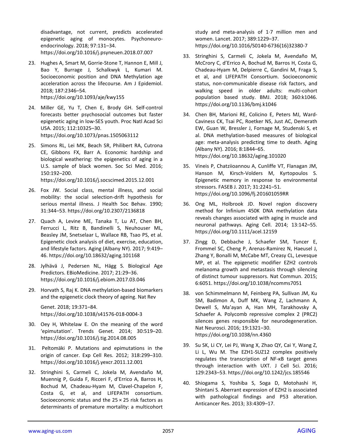disadvantage, not current, predicts accelerated epigenetic aging of monocytes. Psychoneuroendocrinology. 2018; 97:131–34. https://doi.org/10.1016/j.psyneuen.2018.07.007

- 23. Hughes A, Smart M, Gorrie-Stone T, Hannon E, Mill J, Bao Y, Burrage J, Schalkwyk L, Kumari M. Socioeconomic position and DNA Methylation age acceleration across the lifecourse. Am J Epidemiol. 2018; 187:2346–54. https://doi.org/10.1093/aje/kwy155
- 24. Miller GE, Yu T, Chen E, Brody GH. Self-control forecasts better psychosocial outcomes but faster epigenetic aging in low-SES youth. Proc Natl Acad Sci USA. 2015; 112:10325–30. https://doi.org/10.1073/pnas.1505063112
- 25. Simons RL, Lei MK, Beach SR, Philibert RA, Cutrona CE, Gibbons FX, Barr A. Economic hardship and biological weathering: the epigenetics of aging in a U.S. sample of black women. Soc Sci Med. 2016; 150:192–200. https://doi.org/10.1016/j.socscimed.2015.12.001
- 26. Fox JW. Social class, mental illness, and social mobility: the social selection-drift hypothesis for serious mental illness. J Health Soc Behav. 1990; 31:344–53. https://doi.org/10.2307/2136818
- 27. Quach A, Levine ME, Tanaka T, Lu AT, Chen BH, Ferrucci L, Ritz B, Bandinelli S, Neuhouser ML, Beasley JM, Snetselaar L, Wallace RB, Tsao PS, et al. Epigenetic clock analysis of diet, exercise, education, and lifestyle factors. Aging (Albany NY). 2017; 9:419– 46. https://doi.org/10.18632/aging.101168
- 28. Jylhävä J, Pedersen NL, Hägg S. Biological Age Predictors. EBioMedicine. 2017; 21:29–36. https://doi.org/10.1016/j.ebiom.2017.03.046
- 29. Horvath S, Raj K. DNA methylation-based biomarkers and the epigenetic clock theory of ageing. Nat Rev

Genet. 2018; 19:371–84. https://doi.org/10.1038/s41576-018-0004-3

- 30. Oey H, Whitelaw E. On the meaning of the word 'epimutation'. Trends Genet. 2014; 30:519–20. https://doi.org/10.1016/j.tig.2014.08.005
- 31. Peltomäki P. Mutations and epimutations in the origin of cancer. Exp Cell Res. 2012; 318:299–310. https://doi.org/10.1016/j.yexcr.2011.12.001
- 32. Stringhini S, Carmeli C, Jokela M, Avendaño M, Muennig P, Guida F, Ricceri F, d'Errico A, Barros H, Bochud M, Chadeau-Hyam M, Clavel-Chapelon F, Costa G, et al, and LIFEPATH consortium. Socioeconomic status and the 25 × 25 risk factors as determinants of premature mortality: a multicohort

study and meta-analysis of 1·7 million men and women. Lancet. 2017; 389:1229–37. https://doi.org/10.1016/S0140-6736(16)32380-7

- 33. Stringhini S, Carmeli C, Jokela M, Avendaño M, McCrory C, d'Errico A, Bochud M, Barros H, Costa G, Chadeau-Hyam M, Delpierre C, Gandini M, Fraga S, et al, and LIFEPATH Consortium. Socioeconomic status, non-communicable disease risk factors, and walking speed in older adults: multi-cohort population based study. BMJ. 2018; 360:k1046. https://doi.org/10.1136/bmj.k1046
- 34. Chen BH, Marioni RE, Colicino E, Peters MJ, Ward-Caviness CK, Tsai PC, Roetker NS, Just AC, Demerath EW, Guan W, Bressler J, Fornage M, Studenski S, et al. DNA methylation-based measures of biological age: meta-analysis predicting time to death. Aging (Albany NY). 2016; 8:1844–65. https://doi.org/10.18632/aging.101020
- 35. Vineis P, Chatziioannou A, Cunliffe VT, Flanagan JM, Hanson M, Kirsch-Volders M, Kyrtopoulos S. Epigenetic memory in response to environmental stressors. FASEB J. 2017; 31:2241–51. https://doi.org/10.1096/fj.201601059RR
- 36. Ong ML, Holbrook JD. Novel region discovery method for Infinium 450K DNA methylation data reveals changes associated with aging in muscle and neuronal pathways. Aging Cell. 2014; 13:142–55. https://doi.org/10.1111/acel.12159
- 37. Zingg D, Debbache J, Schaefer SM, Tuncer E, Frommel SC, Cheng P, Arenas-Ramirez N, Haeusel J, Zhang Y, Bonalli M, McCabe MT, Creasy CL, Levesque MP, et al. The epigenetic modifier EZH2 controls melanoma growth and metastasis through silencing of distinct tumour suppressors. Nat Commun. 2015; 6:6051. https://doi.org/10.1038/ncomms7051
- 38. von Schimmelmann M, Feinberg PA, Sullivan JM, Ku SM, Badimon A, Duff MK, Wang Z, Lachmann A, Dewell S, Ma'ayan A, Han MH, Tarakhovsky A, Schaefer A. Polycomb repressive complex 2 (PRC2) silences genes responsible for neurodegeneration. Nat Neurosci. 2016; 19:1321–30. https://doi.org/10.1038/nn.4360
- 39. Su SK, Li CY, Lei PJ, Wang X, Zhao QY, Cai Y, Wang Z, Li L, Wu M. The EZH1-SUZ12 complex positively regulates the transcription of NF-κB target genes through interaction with UXT. J Cell Sci. 2016; 129:2343–53. https://doi.org/10.1242/jcs.185546
- 40. Shiogama S, Yoshiba S, Soga D, Motohashi H, Shintani S. Aberrant expression of EZH2 is associated with pathological findings and P53 alteration. Anticancer Res. 2013; 33:4309–17.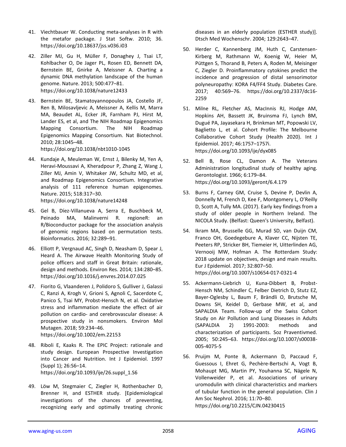- 41. Viechtbauer W. Conducting meta-analyses in R with the metafor package. J Stat Softw. 2010; 36. https://doi.org/10.18637/jss.v036.i03
- 42. Ziller MJ, Gu H, Müller F, Donaghey J, Tsai LT, Kohlbacher O, De Jager PL, Rosen ED, Bennett DA, Bernstein BE, Gnirke A, Meissner A. Charting a dynamic DNA methylation landscape of the human genome. Nature. 2013; 500:477–81. https://doi.org/10.1038/nature12433
- 43. Bernstein BE, Stamatoyannopoulos JA, Costello JF, Ren B, Milosavljevic A, Meissner A, Kellis M, Marra MA, Beaudet AL, Ecker JR, Farnham PJ, Hirst M, Lander ES, et al, and The NIH Roadmap Epigenomics Mapping Consortium. The NIH Roadmap Epigenomics Mapping Consortium. Nat Biotechnol. 2010; 28:1045–48. https://doi.org/10.1038/nbt1010-1045
- 44. Kundaje A, Meuleman W, Ernst J, Bilenky M, Yen A, Heravi-Moussavi A, Kheradpour P, Zhang Z, Wang J, Ziller MJ, Amin V, Whitaker JW, Schultz MD, et al, and Roadmap Epigenomics Consortium. Integrative analysis of 111 reference human epigenomes. Nature. 2015; 518:317–30. https://doi.org/10.1038/nature14248
- 45. Gel B, Díez-Villanueva A, Serra E, Buschbeck M, Peinado MA, Malinverni R. regioneR: an R/Bioconductor package for the association analysis of genomic regions based on permutation tests. Bioinformatics. 2016; 32:289–91.
- 46. Elliott P, Vergnaud AC, Singh D, Neasham D, Spear J, Heard A. The Airwave Health Monitoring Study of police officers and staff in Great Britain: rationale, design and methods. Environ Res. 2014; 134:280–85. https://doi.org/10.1016/j.envres.2014.07.025
- 47. Fiorito G, Vlaanderen J, Polidoro S, Gulliver J, Galassi C, Ranzi A, Krogh V, Grioni S, Agnoli C, Sacerdote C, Panico S, Tsai MY, Probst-Hensch N, et al. Oxidative stress and inflammation mediate the effect of air pollution on cardio- and cerebrovascular disease: A prospective study in nonsmokers. Environ Mol Mutagen. 2018; 59:234–46. https://doi.org/10.1002/em.22153
- 48. Riboli E, Kaaks R. The EPIC Project: rationale and study design. European Prospective Investigation into Cancer and Nutrition. Int J Epidemiol. 1997 (Suppl 1); 26:S6–14. https://doi.org/10.1093/ije/26.suppl\_1.S6
- 49. Löw M, Stegmaier C, Ziegler H, Rothenbacher D, Brenner H, and ESTHER study. [Epidemiological investigations of the chances of preventing, recognizing early and optimally treating chronic

diseases in an elderly population (ESTHER study)]. Dtsch Med Wochenschr. 2004; 129:2643–47.

- 50. Herder C, Kannenberg JM, Huth C, Carstensen-Kirberg M, Rathmann W, Koenig W, Heier M, Püttgen S, Thorand B, Peters A, Roden M, Meisinger C, Ziegler D. Proinflammatory cytokines predict the incidence and progression of distal sensorimotor polyneuropathy: KORA F4/FF4 Study. Diabetes Care. 2017; 40:569–76. https://doi.org/10.2337/dc16- 2259
- 51. Milne RL, Fletcher AS, MacInnis RJ, Hodge AM, Hopkins AH, Bassett JK, Bruinsma FJ, Lynch BM, Dugué PA, Jayasekara H, Brinkman MT, Popowski LV, Baglietto L, et al. Cohort Profile: The Melbourne Collaborative Cohort Study (Health 2020). Int J Epidemiol. 2017; 46:1757–1757i. https://doi.org/10.1093/ije/dyx085
- 52. Bell B, Rose CL, Damon A. The Veterans Administration longitudinal study of healthy aging. Gerontologist. 1966; 6:179–84. https://doi.org/10.1093/geront/6.4.179
- 53. Burns F, Carney GM, Cruise S, Devine P, Devlin A, Donnelly M, French D, Kee F, Montgomery L, O'Reilly D, Scott A, Tully MA. (2017). Early key findings from a study of older people in Northern Ireland. The NICOLA Study. (Belfast: Queen's University, Belfast).
- 54. Ikram MA, Brusselle GG, Murad SD, van Duijn CM, Franco OH, Goedegebure A, Klaver CC, Nijsten TE, Peeters RP, Stricker BH, Tiemeier H, Uitterlinden AG, Vernooij MW, Hofman A. The Rotterdam Study: 2018 update on objectives, design and main results. Eur J Epidemiol. 2017; 32:807–50. https://doi.org/10.1007/s10654-017-0321-4
- 55. Ackermann-Liebrich U, Kuna-Dibbert B, Probst-Hensch NM, Schindler C, Felber Dietrich D, Stutz EZ, Bayer-Oglesby L, Baum F, Brändli O, Brutsche M, Downs SH, Keidel D, Gerbase MW, et al, and SAPALDIA Team. Follow-up of the Swiss Cohort Study on Air Pollution and Lung Diseases in Adults (SAPALDIA 2) 1991-2003: methods and characterization of participants. Soz Praventivmed. 2005; 50:245–63. https://doi.org/10.1007/s00038- 005-4075-5
- 56. Pruijm M, Ponte B, Ackermann D, Paccaud F, Guessous I, Ehret G, Pechère-Bertschi A, Vogt B, Mohaupt MG, Martin PY, Youhanna SC, Nägele N, Vollenweider P, et al. Associations of urinary uromodulin with clinical characteristics and markers of tubular function in the general population. Clin J Am Soc Nephrol. 2016; 11:70–80. https://doi.org/10.2215/CJN.04230415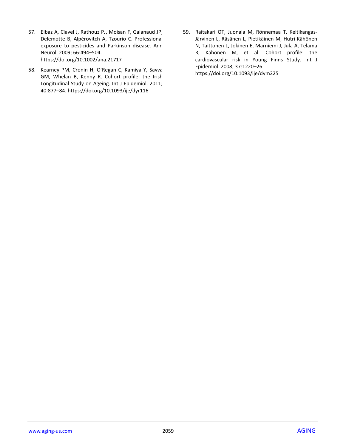- 57. Elbaz A, Clavel J, Rathouz PJ, Moisan F, Galanaud JP, Delemotte B, Alpérovitch A, Tzourio C. Professional exposure to pesticides and Parkinson disease. Ann Neurol. 2009; 66:494–504. https://doi.org/10.1002/ana.21717
- 58. Kearney PM, Cronin H, O'Regan C, Kamiya Y, Savva GM, Whelan B, Kenny R. Cohort profile: the Irish Longitudinal Study on Ageing. Int J Epidemiol. 2011; 40:877–84. https://doi.org/10.1093/ije/dyr116
- 59. Raitakari OT, Juonala M, Rönnemaa T, Keltikangas-Järvinen L, Räsänen L, Pietikäinen M, Hutri-Kähönen N, Taittonen L, Jokinen E, Marniemi J, Jula A, Telama R, Kähönen M, et al. Cohort profile: the cardiovascular risk in Young Finns Study. Int J Epidemiol. 2008; 37:1220–26. https://doi.org/10.1093/ije/dym225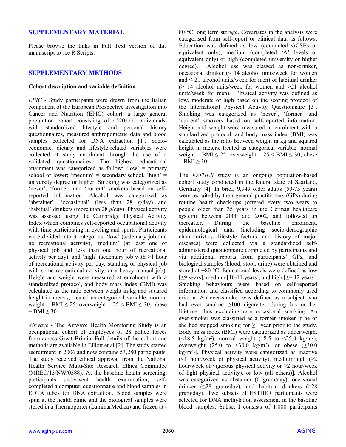## **SUPPLEMENTARY MATERIAL**

Please browse the links in Full Text version of this manuscript to see R Scripts.

## **SUPPLEMENTARY METHODS**

#### **Cohort description and variable definition**

*EPIC* - Study participants were drawn from the Italian component of the European Prospective Investigation into Cancer and Nutrition (EPIC) cohort, a large general population cohort consisting of  $\sim$  520,000 individuals, with standardized lifestyle and personal history questionnaires, measured anthropometric data and blood samples collected for DNA extraction [1]. Socioeconomic, dietary and lifestyle-related variables were collected at study enrolment through the use of a validated questionnaires. The highest educational attainment was categorized as follow: 'low' = primary school or lower; 'medium' = secondary school, 'high' = university degree or higher. Smoking was categorized as 'never', 'former' and 'current' smokers based on selfreported information. Alcohol was categorized as 'abstainer', 'occasional' (less than 28 g/day) and 'habitual' drinkers (more than 28 g/day). Physical activity was assessed using the Cambridge Physical Activity Index which combines self-reported occupational activity with time participating in cycling and sports. Participants were divided into 3 categories: 'low' (sedentary job and no recreational activity), 'medium' (at least one of physical job and less than one hour of recreational activity per day), and 'high' (sedentary job with >1 hour of recreational activity per day, standing or physical job with some recreational activity, or a heavy manual job). Height and weight were measured at enrolment with a standardized protocol, and body mass index (BMI) was calculated as the ratio between weight in kg and squared height in meters, treated as categorical variable: normal weight = BMI  $\leq$  25; overweight = 25 < BMI  $\leq$  30; obese  $=$  BMI  $>$  30

*Airwave -* The Airwave Health Monitoring Study is an occupational cohort of employees of 28 police forces from across Great Britain. Full details of the cohort and methods are available in Elliott et al [2]. The study started recruitment in 2006 and now contains 53,280 participants. The study received ethical approval from the National Health Service Multi-Site Research Ethics Committee (MREC/13/NW/0588). At the baseline health screening, participants underwent health examination, selfcompleted a computer questionnaire and blood samples in EDTA tubes for DNA extraction. Blood samples were spun at the health clinic and the biological samples were stored in a Thermoporter (LaminarMedica) and frozen at -

80 °C long term storage. Covariates in the analysis were categorised from self-report or clinical data as follows: Education was defined as low (completed GCSEs or equivalent only), medium (completed 'A' levels or equivalent only) or high (completed university or higher degree). Alcohol use was classed as non-drinker, occasional drinker (≤ 14 alcohol units/week for women and  $\leq$  21 alcohol units/week for men) or habitual drinker (> 14 alcohol units/week for women and >21 alcohol units/week for men). Physical activity was defined as low, moderate or high based on the scoring protocol of the International Physical Activity Questionnaire [3]. Smoking was categorized as 'never', 'former' and 'current' smokers based on self-reported information. Height and weight were measured at enrolment with a standardized protocol, and body mass index (BMI) was calculated as the ratio between weight in kg and squared height in meters, treated as categorical variable: normal weight = BMI  $\leq$  25; overweight = 25 < BMI  $\leq$  30; obese  $=$  BMI  $>$  30

The *ESTHER* study is an ongoing population-based cohort study conducted in the federal state of Saarland, Germany [4]. In brief, 9,949 older adults (50-75 years) were recruited by their general practitioners (GPs) during routine health check-ups (offered every two years to people older than 35 years in the German healthcare system) between 2000 and 2002, and followed up thereafter. During the baseline enrolment, epidemiological data (including socio-demographic characteristics, lifestyle factors, and history of major diseases) were collected via a standardized selfadministered questionnaire completed by participants and via additional reports from participants' GPs, and biological samples (blood, stool, urine) were obtained and stored at −80 °C. Educational levels were defined as low [ $\leq$ 9 years], medium [10-11 years], and high [ $\geq$ = 12 years]. Smoking behaviours were based on self-reported information and classified according to commonly used criteria. An ever-smoker was defined as a subject who had ever smoked ≥100 cigarettes during his or her lifetime, thus excluding rare occasional smoking. An ever-smoker was classified as a former smoker if he or she had stopped smoking for  $\geq 1$  year prior to the study. Body mass index (BMI) were categorized as underweight  $(\leq 18.5 \text{ kg/m}^2)$ , normal weight  $(18.5 \text{ to } \leq 25.0 \text{ kg/m}^2)$ , overweight (25.0 to  $\leq 30.0$  kg/m<sup>2</sup>), or obese ( $\geq 30.0$ kg/m2 )]. Physical activity were categorized as inactive (<1 hour/week of physical activity), medium/high ( $\geq$ 2 hour/week of vigorous physical activity or  $\geq 2$  hour/week of light physical activity), or low (all others)]. Alcohol was categorized as abstainer (0 gram/day), occasional drinker ( $\leq$ 28 gram/day), and habitual drinkers (>28 gram/day). Two subsets of ESTHER participants were selected for DNA methylation assessment in the baseline blood samples: Subset I consists of 1,000 participants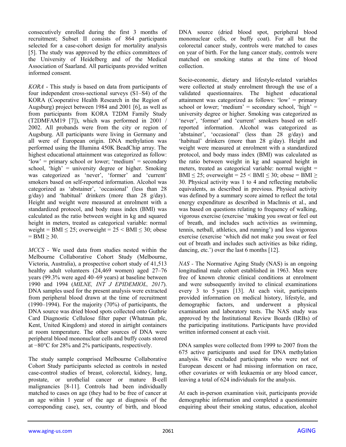consecutively enrolled during the first 3 months of recruitment; Subset II consists of 864 participants selected for a case-cohort design for mortality analysis [5]. The study was approved by the ethics committees of the University of Heidelberg and of the Medical Association of Saarland. All participants provided written informed consent.

*KORA* - This study is based on data from participants of four independent cross-sectional surveys (S1–S4) of the KORA (Cooperative Health Research in the Region of Augsburg) project between 1984 and 2001 [6], as well as from participants from KORA T2DM Family Study (T2DMFAM19 [7]), which was performed in 2001 / 2002. All probands were from the city or region of Augsburg. All participants were living in Germany and all were of European origin. DNA methylation was performed using the Illumina 450K BeadChip array. The highest educational attainment was categorized as follow: 'low' = primary school or lower; 'medium' = secondary school, 'high' = university degree or higher. Smoking was categorized as 'never', 'former' and 'current' smokers based on self-reported information. Alcohol was categorized as 'abstainer', 'occasional' (less than 28 g/day) and 'habitual' drinkers (more than 28 g/day). Height and weight were measured at enrolment with a standardized protocol, and body mass index (BMI) was calculated as the ratio between weight in kg and squared height in meters, treated as categorical variable: normal weight = BMI  $\leq$  25; overweight = 25 < BMI  $\leq$  30; obese  $=$  BMI  $\geq$  30.

*MCCS -* We used data from studies nested within the Melbourne Collaborative Cohort Study (Melbourne, Victoria, Australia), a prospective cohort study of 41,513 healthy adult volunteers (24,469 women) aged 27–76 years (99.3% were aged 40–69 years) at baseline between 1990 and 1994 (*MILNE, INT J EPIDEMIOL, 2017*). DNA samples used for the present analysis were extracted from peripheral blood drawn at the time of recruitment (1990–1994). For the majority (70%) of participants, the DNA source was dried blood spots collected onto Guthrie Card Diagnostic Cellulose filter paper (Whatman plc, Kent, United Kingdom) and stored in airtight containers at room temperature. The other sources of DNA were peripheral blood mononuclear cells and buffy coats stored at −80°C for 28% and 2% participants, respectively.

The study sample comprised Melbourne Collaborative Cohort Study participants selected as controls in nested case-control studies of breast, colorectal, kidney, lung, prostate, or urothelial cancer or mature B-cell malignancies [8-11]. Controls had been individually matched to cases on age (they had to be free of cancer at an age within 1 year of the age at diagnosis of the corresponding case), sex, country of birth, and blood

DNA source (dried blood spot, peripheral blood mononuclear cells, or buffy coat). For all but the colorectal cancer study, controls were matched to cases on year of birth. For the lung cancer study, controls were matched on smoking status at the time of blood collection.

Socio-economic, dietary and lifestyle-related variables were collected at study enrolment through the use of a validated questionnaires. The highest educational attainment was categorized as follows: 'low' = primary school or lower; 'medium' = secondary school, 'high' = university degree or higher. Smoking was categorized as 'never', 'former' and 'current' smokers based on selfreported information. Alcohol was categorized as 'abstainer', 'occasional' (less than 28 g/day) and 'habitual' drinkers (more than 28 g/day). Height and weight were measured at enrolment with a standardized protocol, and body mass index (BMI) was calculated as the ratio between weight in kg and squared height in meters, treated as categorical variable: normal weight  $=$ BMI  $\leq$  25; overweight = 25 < BMI  $\leq$  30; obese = BMI  $\geq$ 30. Physical activity was 1 to 4 and reflecting metabolic equivalents, as described in previous. Physical activity was defined by a summary score aimed to reflect the total energy expenditure as described in MacInnis et al., and was based on questions relating to frequency of walking, vigorous exercise (exercise 'making you sweat or feel out of breath, and includes such activities as swimming, tennis, netball, athletics, and running') and less vigorous exercise (exercise 'which did not make you sweat or feel out of breath and includes such activities as bike riding, dancing, etc.') over the last 6 months [12].

*NAS -* The Normative Aging Study (NAS) is an ongoing longitudinal male cohort established in 1963. Men were free of known chronic clinical conditions at enrolment and were subsequently invited to clinical examinations every 3 to 5 years [13]. At each visit, participants provided information on medical history, lifestyle, and demographic factors, and underwent a physical examination and laboratory tests. The NAS study was approved by the Institutional Review Boards (IRBs) of the participating institutions. Participants have provided written informed consent at each visit.

DNA samples were collected from 1999 to 2007 from the 675 active participants and used for DNA methylation analysis. We excluded participants who were not of European descent or had missing information on race, other covariates or with leukaemia or any blood cancer, leaving a total of 624 individuals for the analysis.

At each in-person examination visit, participants provide demographic information and completed a questionnaire enquiring about their smoking status, education, alcohol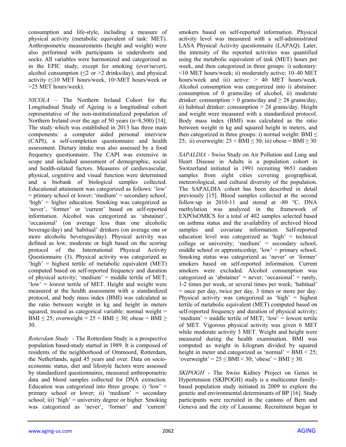consumption and life-style, including a measure of physical activity (metabolic equivalent of task: MET). Anthropometric measurements (height and weight) were also performed with participants in undershorts and socks. All variables were harmonized and categorized as in the EPIC study, except for smoking (ever/never), alcohol consumption ( $\leq$ 2 or  $\geq$ 2 drinks/day), and physical activity (≤10 MET hours/week, 10<MET hours/week or >25 MET hours/week).

*NICOLA –* The Northern Ireland Cohort for the Longitudinal Study of Ageing is a longitudinal cohort representative of the non-institutionalized population of Northern Ireland over the age of 50 years (n=8,500) [14]. The study which was established in 2013 has three main components: a computer aided personal interview (CAPI), a self-completion questionnaire and health assessment. Dietary intake was also assessed by a food frequency questionnaire. The CAPI was extensive in scope and included assessment of demographic, social and health-related factors. Measures of cardiovascular, physical, cognitive and visual function were determined and a biobank of biological samples collected. Educational attainment was categorized as follows: 'low' = primary school or lower; 'medium' = secondary school, 'high' = higher education. Smoking was categorized as 'never', 'former' or 'current' based on self-reported information. Alcohol was categorized as 'abstainer', 'occasional' (on average less than one alcoholic beverage/day) and 'habitual' drinkers (on average one or more alcoholic beverages/day). Physical activity was defined as low, moderate or high based on the scoring protocol of the International Physical Activity Questionnaire (3). Physical activity was categorized as 'high' = highest tertile of metabolic equivalent (MET) computed based on self-reported frequency and duration of physical activity; 'medium' = middle tertile of MET; 'low' = lowest tertile of MET. Height and weight were measured at the health assessment with a standardized protocol, and body mass index (BMI) was calculated as the ratio between weight in kg and height in meters squared, treated as categorical variable: normal weight  $=$ BMI  $\leq$  25; overweight = 25 < BMI  $\leq$  30; obese = BMI  $\geq$ 30.

*Rotterdam Study -* The Rotterdam Study is a prospective population based-study started in 1989. It is composed of residents of the neighborhood of Ommoord, Rotterdam, the Netherlands, aged 45 years and over. Data on socioeconomic status, diet and lifestyle factors were assessed by standardized questionnaires, measured anthropometric data and blood samples collected for DNA extraction. Education was categorized into three groups: i) 'low' = primary school or lower; ii) 'medium' = secondary school; iii) 'high' = university degree or higher. Smoking was categorized as 'never', 'former' and 'current'

smokers based on self-reported information. Physical activity level was measured with a self-administrated LASA Physical Activity questionnaire (LAPAQ). Later, the intensity of the reported activities was quantified using the metabolic equivalent of task (MET) hours per week, and then categorized in three groups: i) sedentary: <10 MET hours/week; ii) moderately active: 10–40 MET hours/week and iii) active: > 40 MET hours/week. Alcohol consumption was categorized into i) abstainer: consumption of 0 grams/day of alcohol, ii) moderate drinker: consumption > 0 grams/day and  $\geq$  28 grams/day, ii) habitual drinker: consumption  $> 28$  grams/day. Height and weight were measured with a standardized protocol. Body mass index (BMI) was calculated as the ratio between weight in kg and squared height in meters, and then categorized in three groups: i) normal weight: BMI  $\leq$ 25; ii) overweight:  $25 < BMI \leq 30$ ; iii) obese = BMI  $\geq 30$ 

*SAPALDIA* - Swiss Study on Air Pollution and Lung and Heart Disease in Adults is a population cohort in Switzerland initiated in 1991 recruiting 9651 random samples from eight cities covering geographical, meteorological, and cultural diversity of the population. The SAPALDIA cohort has been described in detail previously [15]. Blood samples collected at the second follow-up in 2010-11 and stored at -80 °C. DNA methylation was analyzed in the framework of EXPOsOMICS for a total of 402 samples selected based on asthma status and the availability of archived blood samples and covariate information. Self-reported education level was categorized as 'high' = technical college or university; 'medium' = secondary school, middle school or apprenticeship; 'low' = primary school. Smoking status was categorized as 'never' or 'former' smokers based on self-reported information. Current smokers were excluded. Alcohol consumption was categorized as 'abstainer' = never; 'occasional' = rarely, 1-2 times per week, or several times per week; 'habitual' = once per day, twice per day, 3 times or more per day. Physical activity was categorized as 'high' = highest tertile of metabolic equivalent (MET) computed based on self-reported frequency and duration of physical activity; 'medium' = middle tertile of MET; 'low' = lowest tertile of MET. Vigorous physical activity was given 6 MET while moderate activity 3 MET. Weight and height were measured during the health examination. BMI was computed as weight in kilogram divided by squared height in meter and categorized as 'normal' =  $BMI < 25$ ; 'overweight' =  $25 \leq BMI \leq 30$ ; 'obese' =  $BMI \geq 30$ .

*SKIPOGH* - The Swiss Kidney Project on Genes in Hypertension (SKIPOGH) study is a multicenter familybased population study initiated in 2009 to explore the genetic and environmental determinants of BP [16]. Study participants were recruited in the cantons of Bern and Geneva and the city of Lausanne. Recruitment began in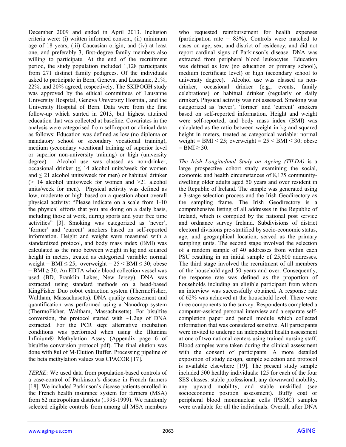December 2009 and ended in April 2013. Inclusion criteria were: (i) written informed consent, (ii) minimum age of 18 years, (iii) Caucasian origin, and (iv) at least one, and preferably 3, first-degree family members also willing to participate. At the end of the recruitment period, the study population included 1,128 participants from 271 distinct family pedigrees. Of the individuals asked to participate in Bern, Geneva, and Lausanne, 21%, 22%, and 20% agreed, respectively. The SKIPOGH study was approved by the ethical committees of Lausanne University Hospital, Geneva University Hospital, and the University Hospital of Bern. Data were from the first follow-up which started in 2013, but highest attained education that was collected at baseline. Covariates in the analysis were categorised from self-report or clinical data as follows: Education was defined as low (no diploma or mandatory school or secondary vocational training), medium (secondary vocational training of superior level or superior non-university training) or high (university degree). Alcohol use was classed as non-drinker, occasional drinker  $( \leq 14$  alcohol units/week for women and  $\leq$  21 alcohol units/week for men) or habitual drinker  $(> 14$  alcohol units/week for women and  $>21$  alcohol units/week for men). Physical activity was defined as low, moderate or high based on a question about overall physical activity: "Please indicate on a scale from 1-10 the physical efforts that you are doing on a daily basis, including those at work, during sports and your free time activities" [3]. Smoking was categorized as 'never', 'former' and 'current' smokers based on self-reported information. Height and weight were measured with a standardized protocol, and body mass index (BMI) was calculated as the ratio between weight in kg and squared height in meters, treated as categorical variable: normal weight = BMI  $\leq$  25; overweight = 25 < BMI  $\leq$  30; obese  $=$  BMI  $\geq$  30. An EDTA whole blood collection vessel was used (BD, Franklin Lakes, New Jersey). DNA was extracted using standard methods on a bead-based KingFisher Duo robot extraction system (ThermoFisher, Waltham, Massachusetts). DNA quality assessement and quantification was performed using a Nanodrop system (ThermoFisher, Waltham, Massachusetts). For bisulfite conversion, the protocol started with  $\sim$ 1.2ug of DNA extracted. For the PCR step: alternative incubation conditions was performed when using the Illumina Infinium® Methylation Assay (Appendix page 6 of bisulfite conversion protocol pdf). The final elution was done with 8ul of M-Elution Buffer. Processing pipeline of the beta methylation values was CPACOR [17].

*TERRE*: We used data from population-based controls of a case-control of Parkinson's disease in French farmers [18]. We included Parkinson's disease patients enrolled in the French health insurance system for farmers (MSA) from 62 metropolitan districts (1998-1999). We randomly selected eligible controls from among all MSA members who requested reimbursement for health expenses (participation rate  $= 83\%$ ). Controls were matched to cases on age, sex, and district of residency, and did not report cardinal signs of Parkinson's disease. DNA was extracted from peripheral blood leukocytes. Education was defined as low (no education or primary school), medium (certificate level) or high (secondary school to university degree). Alcohol use was classed as nondrinker, occasional drinker (e.g., events, family celebrations) or habitual drinker (regularly or daily drinker). Physical activity was not assessed. Smoking was categorized as 'never', 'former' and 'current' smokers based on self-reported information. Height and weight were self-reported, and body mass index (BMI) was calculated as the ratio between weight in kg and squared height in meters, treated as categorical variable: normal weight = BMI  $\leq$  25; overweight = 25 < BMI  $\leq$  30; obese  $=$  BMI  $> 30$ .

*The Irish Longitudinal Study on Ageing (TILDA)* is a large prospective cohort study examining the social, economic and health circumstances of 8,175 communitydwelling older adults aged 50 years and over resident in the Republic of Ireland. The sample was generated using a 3-stage selection process and the Irish Geodirectory as the sampling frame. The Irish Geodirectory is a comprehensive listing of all addresses in the Republic of Ireland, which is compiled by the national post service and ordnance survey Ireland. Subdivisions of district electoral divisions pre-stratified by socio-economic status, age, and geographical location, served as the primary sampling units. The second stage involved the selection of a random sample of 40 addresses from within each PSU resulting in an initial sample of 25,600 addresses. The third stage involved the recruitment of all members of the household aged 50 years and over. Consequently, the response rate was defined as the proportion of households including an eligible participant from whom an interview was successfully obtained. A response rate of 62% was achieved at the household level. There were three components to the survey. Respondents completed a computer-assisted personal interview and a separate selfcompletion paper and pencil module which collected information that was considered sensitive. All participants were invited to undergo an independent health assessment at one of two national centers using trained nursing staff. Blood samples were taken during the clinical assessment with the consent of participants. A more detailed exposition of study design, sample selection and protocol is available elsewhere [19]. The present study sample included 500 healthy individuals: 125 for each of the four SES classes: stable professional, any downward mobility, any upward mobility, and stable unskilled (see socioeconomic position assessment). Buffy coat or peripheral blood mononuclear cells (PBMC) samples were available for all the individuals. Overall, after DNA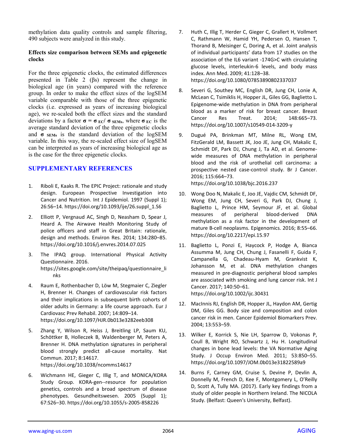methylation data quality controls and sample filtering, 490 subjects were analyzed in this study.

## **Effects size comparison between SEMs and epigenetic clocks**

For the three epigenetic clocks, the estimated differences presented in Table 2 (βs) represent the change in biological age (in years) compared with the reference group. In order to make the effect sizes of the logSEM variable comparable with those of the three epigenetic clocks (i.e. expressed as years of increasing biological age), we re-scaled both the effect sizes and the standard deviations by a factor  $\sigma = \sigma_{EC}/\sigma_{SEMs}$ , where  $\sigma_{EC}$  is the average standard deviation of the three epigenetic clocks and **σ SEMs** is the standard deviation of the logSEM variable. In this way, the re-scaled effect size of logSEM can be interpreted as years of increasing biological age as is the case for the three epigenetic clocks.

# **SUPPLEMENTARY REFERENCES**

- 1. Riboli E, Kaaks R. The EPIC Project: rationale and study design. European Prospective Investigation into Cancer and Nutrition. Int J Epidemiol. 1997 (Suppl 1); 26:S6–14. https://doi.org/10.1093/ije/26.suppl\_1.S6
- 2. Elliott P, Vergnaud AC, Singh D, Neasham D, Spear J, Heard A. The Airwave Health Monitoring Study of police officers and staff in Great Britain: rationale, design and methods. Environ Res. 2014; 134:280–85. https://doi.org/10.1016/j.envres.2014.07.025
- 3. The IPAQ group. International Physical Activity Questionnaire. 2016. https://sites.google.com/site/theipaq/questionnaire\_li nks
- 4. Raum E, Rothenbacher D, Löw M, Stegmaier C, Ziegler H, Brenner H. Changes of cardiovascular risk factors and their implications in subsequent birth cohorts of older adults in Germany: a life course approach. Eur J Cardiovasc Prev Rehabil. 2007; 14:809–14. https://doi.org/10.1097/HJR.0b013e3282eeb308
- 5. Zhang Y, Wilson R, Heiss J, Breitling LP, Saum KU, Schöttker B, Holleczek B, Waldenberger M, Peters A, Brenner H. DNA methylation signatures in peripheral blood strongly predict all-cause mortality. Nat Commun. 2017; 8:14617. https://doi.org/10.1038/ncomms14617
- 6. Wichmann HE, Gieger C, Illig T, and MONICA/KORA Study Group. KORA-gen--resource for population genetics, controls and a broad spectrum of disease phenotypes. Gesundheitswesen. 2005 (Suppl 1); 67:S26–30. https://doi.org/10.1055/s-2005-858226
- 7. Huth C, Illig T, Herder C, Gieger C, Grallert H, Vollmert C, Rathmann W, Hamid YH, Pedersen O, Hansen T, Thorand B, Meisinger C, Doring A, et al. Joint analysis of individual participants' data from 17 studies on the association of the IL6 variant -174G>C with circulating glucose levels, interleukin-6 levels, and body mass index. Ann Med. 2009; 41:128–38. https://doi.org/10.1080/07853890802337037
- 8. Severi G, Southey MC, English DR, Jung CH, Lonie A, McLean C, Tsimiklis H, Hopper JL, Giles GG, Baglietto L. Epigenome-wide methylation in DNA from peripheral blood as a marker of risk for breast cancer. Breast Cancer Res Treat. 2014; 148:665–73. https://doi.org/10.1007/s10549-014-3209-y
- 9. Dugué PA, Brinkman MT, Milne RL, Wong EM, FitzGerald LM, Bassett JK, Joo JE, Jung CH, Makalic E, Schmidt DF, Park DJ, Chung J, Ta AD, et al. Genomewide measures of DNA methylation in peripheral blood and the risk of urothelial cell carcinoma: a prospective nested case-control study. Br J Cancer. 2016; 115:664–73.

https://doi.org/10.1038/bjc.2016.237

- 10. Wong Doo N, Makalic E, Joo JE, Vajdic CM, Schmidt DF, Wong EM, Jung CH, Severi G, Park DJ, Chung J, Baglietto L, Prince HM, Seymour JF, et al. Global measures of peripheral blood-derived DNA methylation as a risk factor in the development of mature B-cell neoplasms. Epigenomics. 2016; 8:55–66. https://doi.org/10.2217/epi.15.97
- 11. Baglietto L, Ponzi E, Haycock P, Hodge A, Bianca Assumma M, Jung CH, Chung J, Fasanelli F, Guida F, Campanella G, Chadeau-Hyam M, Grankvist K, Johansson M, et al. DNA methylation changes measured in pre-diagnostic peripheral blood samples are associated with smoking and lung cancer risk. Int J Cancer. 2017; 140:50–61. https://doi.org/10.1002/ijc.30431
- 12. MacInnis RJ, English DR, Hopper JL, Haydon AM, Gertig DM, Giles GG. Body size and composition and colon cancer risk in men. Cancer Epidemiol Biomarkers Prev. 2004; 13:553–59.
- 13. Wilker E, Korrick S, Nie LH, Sparrow D, Vokonas P, Coull B, Wright RO, Schwartz J, Hu H. Longitudinal changes in bone lead levels: the VA Normative Aging Study. J Occup Environ Med. 2011; 53:850–55. https://doi.org/10.1097/JOM.0b013e31822589a9
- 14. Burns F, Carney GM, Cruise S, Devine P, Devlin A, Donnelly M, French D, Kee F, Montgomery L, O'Reilly D, Scott A, Tully MA. (2017). Early key findings from a study of older people in Northern Ireland. The NICOLA Study. (Belfast: Queen's University, Belfast).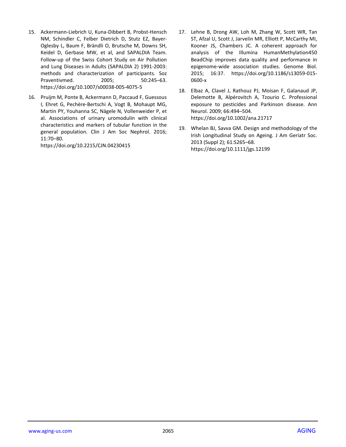- 15. Ackermann-Liebrich U, Kuna-Dibbert B, Probst-Hensch NM, Schindler C, Felber Dietrich D, Stutz EZ, Bayer-Oglesby L, Baum F, Brändli O, Brutsche M, Downs SH, Keidel D, Gerbase MW, et al, and SAPALDIA Team. Follow-up of the Swiss Cohort Study on Air Pollution and Lung Diseases in Adults (SAPALDIA 2) 1991-2003: methods and characterization of participants. Soz Praventivmed. 2005; 50:245–63. https://doi.org/10.1007/s00038-005-4075-5
- 16. Pruijm M, Ponte B, Ackermann D, Paccaud F, Guessous I, Ehret G, Pechère-Bertschi A, Vogt B, Mohaupt MG, Martin PY, Youhanna SC, Nägele N, Vollenweider P, et al. Associations of urinary uromodulin with clinical characteristics and markers of tubular function in the general population. Clin J Am Soc Nephrol. 2016; 11:70–80.

https://doi.org/10.2215/CJN.04230415

- 17. Lehne B, Drong AW, Loh M, Zhang W, Scott WR, Tan ST, Afzal U, Scott J, Jarvelin MR, Elliott P, McCarthy MI, Kooner JS, Chambers JC. A coherent approach for analysis of the Illumina HumanMethylation450 BeadChip improves data quality and performance in epigenome-wide association studies. Genome Biol. 2015; 16:37. https://doi.org/10.1186/s13059-015- 0600-x
- 18. Elbaz A, Clavel J, Rathouz PJ, Moisan F, Galanaud JP, Delemotte B, Alpérovitch A, Tzourio C. Professional exposure to pesticides and Parkinson disease. Ann Neurol. 2009; 66:494–504. https://doi.org/10.1002/ana.21717
- 19. Whelan BJ, Savva GM. Design and methodology of the Irish Longitudinal Study on Ageing. J Am Geriatr Soc. 2013 (Suppl 2); 61:S265–68. https://doi.org/10.1111/jgs.12199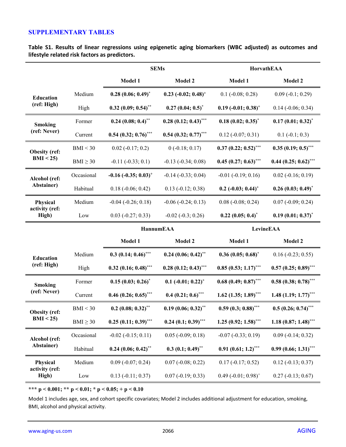# **SUPPLEMENTARY TABLES**

**Table S1. Results of linear regressions using epigenetic aging biomarkers (WBC adjusted) as outcomes and lifestyle related risk factors as predictors.** 

|                                   |               | <b>SEMs</b>                       |                                   | HorvathEAA                        |                                    |
|-----------------------------------|---------------|-----------------------------------|-----------------------------------|-----------------------------------|------------------------------------|
|                                   |               | <b>Model 1</b>                    | <b>Model 2</b>                    | <b>Model 1</b>                    | <b>Model 2</b>                     |
| <b>Education</b>                  | Medium        | $0.28(0.06; 0.49)^{*}$            | $0.23$ (-0.02; 0.48) <sup>+</sup> | $0.1$ ( $-0.08$ ; 0.28)           | $0.09(-0.1; 0.29)$                 |
| (ref: High)                       | High          | $0.32$ $(0.09; 0.54)$ **          | $0.27(0.04; 0.5)^{*}$             | $0.19$ (-0.01; 0.38) <sup>+</sup> | $0.14$ ( $-0.06$ ; 0.34)           |
| <b>Smoking</b>                    | Former        | $0.24$ (0.08; 0.4) <sup>**</sup>  | $0.28$ $(0.12; 0.43)$ ***         | $0.18(0.02; 0.35)^{*}$            | $0.17(0.01; 0.32)^{*}$             |
| (ref: Never)                      | Current       | $0.54$ $(0.32; 0.76)$ ***         | $0.54$ $(0.32; 0.77)$ ***         | $0.12 (-0.07; 0.31)$              | $0.1 (-0.1; 0.3)$                  |
| <b>Obesity</b> (ref:              | BMI < 30      | $0.02$ (-0.17; 0.2)               | $0(-0.18; 0.17)$                  | $0.37(0.22; 0.52)$ ***            | $0.35(0.19; 0.5)$ ***              |
| BMI < 25                          | $BMI \geq 30$ | $-0.11(-0.33; 0.1)$               | $-0.13$ $(-0.34; 0.08)$           | $0.45(0.27; 0.63)$ ***            | $0.44$ $(0.25; 0.62)$ ***          |
| Alcohol (ref:                     | Occasional    | $-0.16$ $(-0.35; 0.03)^{+}$       | $-0.14$ $(-0.33; 0.04)$           | $-0.01$ $(-0.19; 0.16)$           | $0.02$ ( $-0.16$ ; 0.19)           |
| <b>Abstainer)</b>                 | Habitual      | $0.18(-0.06; 0.42)$               | $0.13 (-0.12; 0.38)$              | $0.2$ (-0.03; 0.44) <sup>+</sup>  | $0.26(0.03; 0.49)^{*}$             |
| Physical<br>activity (ref:        | Medium        | $-0.04$ $(-0.26; 0.18)$           | $-0.06$ $(-0.24; 0.13)$           | $0.08 (-0.08; 0.24)$              | $0.07$ ( $-0.09$ ; 0.24)           |
| High)                             | Low           | $0.03 (-0.27; 0.33)$              | $-0.02$ $(-0.3; 0.26)$            | $0.22$ $(0.05; 0.4)^*$            | $0.19(0.01; 0.37)^{*}$             |
|                                   |               | HannumEAA                         |                                   | <b>LevineEAA</b>                  |                                    |
|                                   |               | Model 1                           | Model 2                           | Model 1                           |                                    |
|                                   |               |                                   |                                   |                                   | <b>Model 2</b>                     |
| <b>Education</b>                  | Medium        | $0.3$ $(0.14; 0.46)$ ***          | $0.24$ (0.06; 0.42) <sup>**</sup> | $0.36(0.05; 0.68)^{*}$            | $0.16 (-0.23; 0.55)$               |
| (ref: High)                       | High          | $0.32$ $(0.16; 0.48)$ ***         | $0.28$ $(0.12; 0.43)$ ***         | $0.85(0.53; 1.17)$ ***            | $0.57(0.25; 0.89)$ ***             |
| <b>Smoking</b>                    | Former        | $0.15(0.03; 0.26)^{*}$            | $0.1$ (-0.01; 0.22) <sup>+</sup>  | $0.68$ $(0.49; 0.87)$ ***         | $0.58(0.38; 0.78)$ ***             |
| (ref: Never)                      | Current       | $0.46$ $(0.26; 0.65)$ ***         | $0.4$ $(0.21; 0.6)^{***}$         | $1.62$ $(1.35; 1.89)$ ***         | $1.48$ (1.19; 1.77) <sup>***</sup> |
| <b>Obesity</b> (ref:              | BMI < 30      | $0.2$ (0.08; 0.32) <sup>**</sup>  | $0.19(0.06; 0.32)$ **             | $0.59(0.3; 0.88)$ ***             | $0.5(0.26; 0.74)$ ***              |
| BMI < 25)                         | $BMI \geq 30$ | $0.25(0.11; 0.39)$ ***            | $0.24$ $(0.1; 0.39)$ ***          | $1.25(0.92; 1.58)$ ***            | $1.18(0.87; 1.48)$ ***             |
| Alcohol (ref:                     | Occasional    | $-0.02$ $(-0.15; 0.11)$           | $0.05$ (-0.09; 0.18)              | $-0.07$ $(-0.33; 0.19)$           | $0.09$ (-0.14; 0.32)               |
| <b>Abstainer)</b>                 | Habitual      | $0.24$ (0.06; 0.42) <sup>**</sup> | $0.3(0.1; 0.49)$ **               | $0.91(0.61; 1.2)$ ***             | $0.99(0.66; 1.31)$ ***             |
| <b>Physical</b><br>activity (ref: | Medium        | $0.09$ (-0.07; 0.24)              | $0.07 (-0.08; 0.22)$              | $0.17(-0.17; 0.52)$               | $0.12 (-0.13; 0.37)$               |

**\*\*\* p < 0.001; \*\* p < 0.01; \* p < 0.05; + p < 0.10**

Model 1 includes age, sex, and cohort specific covariates; Model 2 includes additional adjustment for education, smoking, BMI, alcohol and physical activity.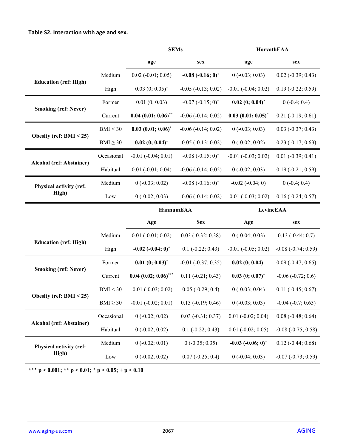|                                 |               | <b>SEMs</b>              |                          | <b>HorvathEAA</b>       |                             |  |
|---------------------------------|---------------|--------------------------|--------------------------|-------------------------|-----------------------------|--|
|                                 |               | age                      | sex                      | age                     | sex                         |  |
|                                 | Medium        | $0.02$ ( $-0.01; 0.05$ ) | $-0.08$ $(-0.16; 0)^+$   | $0(-0.03; 0.03)$        | $0.02$ ( $-0.39; 0.43$ )    |  |
| <b>Education (ref: High)</b>    | High          | $0.03(0; 0.05)^+$        | $-0.05$ $(-0.13; 0.02)$  | $-0.01$ $(-0.04; 0.02)$ | $0.19(-0.22; 0.59)$         |  |
|                                 | Former        | 0.01(0; 0.03)            | $-0.07$ $(-0.15; 0)^+$   | $0.02(0; 0.04)^*$       | $0(-0.4; 0.4)$              |  |
| <b>Smoking (ref: Never)</b>     | Current       | $0.04(0.01; 0.06)$ **    | $-0.06$ $(-0.14; 0.02)$  | $0.03(0.01; 0.05)^{*}$  | $0.21 (-0.19; 0.61)$        |  |
|                                 | BMI < 30      | $0.03(0.01; 0.06)^*$     | $-0.06$ $(-0.14; 0.02)$  | $0(-0.03; 0.03)$        | $0.03$ ( $-0.37; 0.43$ )    |  |
| Obesity (ref: BMI $<$ 25)       | $BMI \geq 30$ | $0.02(0; 0.04)^+$        | $-0.05$ $(-0.13; 0.02)$  | $0(-0.02; 0.02)$        | $0.23$ (-0.17; 0.63)        |  |
| <b>Alcohol</b> (ref: Abstainer) | Occasional    | $-0.01$ $(-0.04; 0.01)$  | $-0.08$ $(-0.15; 0)^+$   | $-0.01$ $(-0.03; 0.02)$ | $0.01 (-0.39; 0.41)$        |  |
|                                 | Habitual      | $0.01 (-0.01; 0.04)$     | $-0.06$ $(-0.14; 0.02)$  | $0(-0.02; 0.03)$        | $0.19(-0.21; 0.59)$         |  |
| Physical activity (ref:         | Medium        | $0(-0.03; 0.02)$         | $-0.08$ $(-0.16; 0)^+$   | $-0.02$ $(-0.04; 0)$    | $0(-0.4; 0.4)$              |  |
| High)                           | Low           | $0(-0.02; 0.03)$         | $-0.06$ $(-0.14; 0.02)$  | $-0.01$ $(-0.03; 0.02)$ | $0.16(-0.24; 0.57)$         |  |
|                                 |               | <b>HannumEAA</b>         |                          | LevineEAA               |                             |  |
|                                 |               | Age                      | <b>Sex</b>               | Age                     | sex                         |  |
| <b>Education (ref: High)</b>    | Medium        | $0.01 (-0.01; 0.02)$     | $0.03 (-0.32; 0.38)$     | $0(-0.04; 0.03)$        | $0.13 (-0.44; 0.7)$         |  |
|                                 | High          | $-0.02 (-0.04; 0)^*$     | $0.1$ ( $-0.22$ ; 0.43)  | $-0.01$ $(-0.05; 0.02)$ | $-0.08$ $(-0.74; 0.59)$     |  |
| <b>Smoking (ref: Never)</b>     | Former        | $0.01(0; 0.03)^*$        | $-0.01 (-0.37; 0.35)$    | $0.02(0; 0.04)^+$       | $0.09$ ( $-0.47; 0.65$ )    |  |
|                                 | Current       | $0.04(0.02; 0.06)$ ***   | $0.11 (-0.21; 0.43)$     | $0.03(0; 0.07)^+$       | $-0.06 (-0.72; 0.6)$        |  |
| Obesity (ref: $BMI < 25$ )      | BMI < 30      | $-0.01$ $(-0.03; 0.02)$  | $0.05 (-0.29; 0.4)$      | $0(-0.03; 0.04)$        | $0.11 (-0.45; 0.67)$        |  |
|                                 | $BMI \geq 30$ | $-0.01$ $(-0.02; 0.01)$  | $0.13$ (-0.19; 0.46)     | $0(-0.03; 0.03)$        | $-0.04$ $(-0.7; 0.63)$      |  |
| <b>Alcohol</b> (ref: Abstainer) | Occasional    | $0(-0.02; 0.02)$         | $0.03$ ( $-0.31; 0.37$ ) | $0.01 (-0.02; 0.04)$    | $0.08$ ( $-0.48$ ; 0.64)    |  |
|                                 | Habitual      | $0(-0.02; 0.02)$         | $0.1$ ( $-0.22$ ; 0.43)  | $0.01 (-0.02; 0.05)$    | $-0.08$ $(-0.75; 0.58)$     |  |
| Physical activity (ref:         | Medium        | $0(-0.02; 0.01)$         | $0(-0.35; 0.35)$         | $-0.03$ $(-0.06; 0)^+$  | $0.12$ ( $-0.44$ ; $0.68$ ) |  |
| High)                           | Low           | $0(-0.02; 0.02)$         | $0.07 (-0.25; 0.4)$      | $0(-0.04; 0.03)$        | $-0.07$ $(-0.73; 0.59)$     |  |

**\*\*\* p < 0.001; \*\* p < 0.01; \* p < 0.05; + p < 0.10**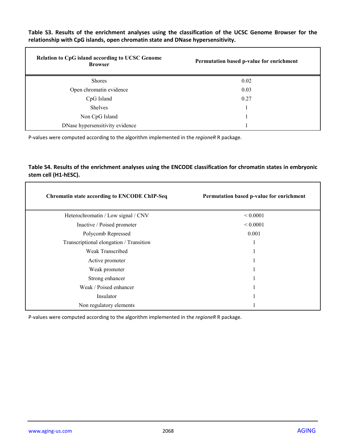| Relation to CpG island according to UCSC Genome<br><b>Browser</b> | Permutation based p-value for enrichment |
|-------------------------------------------------------------------|------------------------------------------|
| <b>Shores</b>                                                     | 0.02                                     |
| Open chromatin evidence                                           | 0.03                                     |
| CpG Island                                                        | 0.27                                     |
| Shelves                                                           |                                          |
| Non CpG Island                                                    |                                          |
| DNase hypersensitivity evidence                                   |                                          |

**Table S3. Results of the enrichment analyses using the classification of the UCSC Genome Browser for the relationship with CpG islands, open chromatin state and DNase hypersensitivity.**

P-values were computed according to the algorithm implemented in the *regioneR* R package.

## **Table S4. Results of the enrichment analyses using the ENCODE classification for chromatin states in embryonic stem cell (H1-hESC).**

| Chromatin state according to ENCODE ChIP-Seq | Permutation based p-value for enrichment |
|----------------------------------------------|------------------------------------------|
| Heterochromatin / Low signal / CNV           | ${}< 0.0001$                             |
| Inactive / Poised promoter                   | ${}< 0.0001$                             |
| Polycomb Repressed                           | 0.001                                    |
| Transcriptional elongation / Transition      |                                          |
| Weak Transcribed                             |                                          |
| Active promoter                              |                                          |
| Weak promoter                                |                                          |
| Strong enhancer                              |                                          |
| Weak / Poised enhancer                       |                                          |
| Insulator                                    |                                          |
| Non regulatory elements                      |                                          |

P-values were computed according to the algorithm implemented in the *regioneR* R package.

г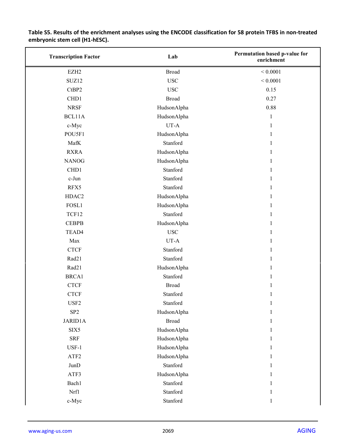| <b>Transcription Factor</b> | Lab          | Permutation based p-value for<br>enrichment |
|-----------------------------|--------------|---------------------------------------------|
| EZH <sub>2</sub>            | <b>Broad</b> | ${}< 0.0001$                                |
| SUZ12                       | <b>USC</b>   | ${}< 0.0001$                                |
| CtBP2                       | <b>USC</b>   | 0.15                                        |
| CHD1                        | <b>Broad</b> | 0.27                                        |
| <b>NRSF</b>                 | HudsonAlpha  | 0.88                                        |
| BCL11A                      | HudsonAlpha  | $\mathbf{1}$                                |
| c-Myc                       | UT-A         | 1                                           |
| POU5F1                      | HudsonAlpha  | 1                                           |
| MafK                        | Stanford     | 1                                           |
| <b>RXRA</b>                 | HudsonAlpha  | 1                                           |
| <b>NANOG</b>                | HudsonAlpha  | 1                                           |
| CHD1                        | Stanford     | 1                                           |
| c-Jun                       | Stanford     | 1                                           |
| RFX5                        | Stanford     | 1                                           |
| HDAC2                       | HudsonAlpha  | 1                                           |
| FOSL1                       | HudsonAlpha  | 1                                           |
| TCF12                       | Stanford     |                                             |
| <b>CEBPB</b>                | HudsonAlpha  | 1                                           |
| TEAD4                       | <b>USC</b>   | 1                                           |
| Max                         | UT-A         | 1                                           |
| <b>CTCF</b>                 | Stanford     | 1                                           |
| Rad21                       | Stanford     | 1                                           |
| Rad21                       | HudsonAlpha  | 1                                           |
| <b>BRCA1</b>                | Stanford     | 1                                           |
| <b>CTCF</b>                 | <b>Broad</b> | 1                                           |
| <b>CTCF</b>                 | Stanford     | 1                                           |
| USF <sub>2</sub>            | Stanford     | $\mathbf{I}$                                |
| SP <sub>2</sub>             | HudsonAlpha  |                                             |
| JARID1A                     | <b>Broad</b> |                                             |
| SIX5                        | HudsonAlpha  |                                             |
| <b>SRF</b>                  | HudsonAlpha  |                                             |
| $USF-1$                     | HudsonAlpha  |                                             |
| ATF <sub>2</sub>            | HudsonAlpha  | 1                                           |
| JunD                        | Stanford     | 1                                           |
| ATF3                        | HudsonAlpha  |                                             |
| Bach1                       | Stanford     | 1                                           |
| Nrf1                        | Stanford     | 1                                           |
| c-Myc                       | Stanford     | 1                                           |

**Table S5. Results of the enrichment analyses using the ENCODE classification for 58 protein TFBS in non-treated embryonic stem cell (H1-hESC).**